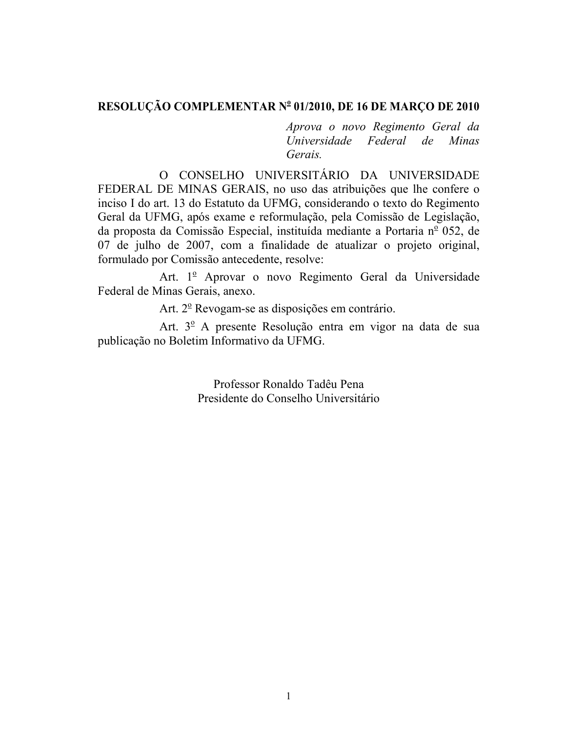# RESOLUÇÃO COMPLEMENTAR Nº 01/2010, DE 16 DE MARÇO DE 2010

Aprova o novo Regimento Geral da Universidade Federal de Minas Gerais.

O CONSELHO UNIVERSITÁRIO DA UNIVERSIDADE FEDERAL DE MINAS GERAIS, no uso das atribuições que lhe confere o inciso I do art. 13 do Estatuto da UFMG, considerando o texto do Regimento Geral da UFMG, após exame e reformulação, pela Comissão de Legislação, da proposta da Comissão Especial, instituída mediante a Portaria nº 052, de 07 de julho de 2007, com a finalidade de atualizar o projeto original, formulado por Comissão antecedente, resolve:

Art. 1<sup>º</sup> Aprovar o novo Regimento Geral da Universidade Federal de Minas Gerais, anexo.

Art. 2<sup>°</sup> Revogam-se as disposições em contrário.

Art. 3<sup>°</sup> A presente Resolução entra em vigor na data de sua publicação no Boletim Informativo da UFMG.

> Professor Ronaldo Tadêu Pena Presidente do Conselho Universitário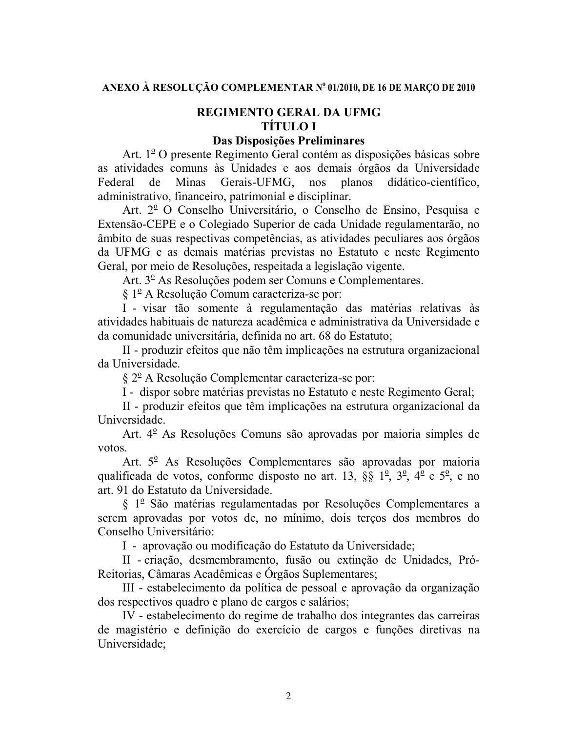# **REGIMENTO GERAL DA UFMG TÍTULO I**

## Das Disposições Preliminares

Art. 1<sup>°</sup> O presente Regimento Geral contém as disposições básicas sobre as atividades comuns às Unidades e aos demais órgãos da Universidade Federal de **Minas** Gerais-UFMG. nos planos didático-científico. administrativo, financeiro, patrimonial e disciplinar.

Art. 2<sup>°</sup> O Conselho Universitário, o Conselho de Ensino, Pesquisa e Extensão-CEPE e o Colegiado Superior de cada Unidade regulamentarão, no âmbito de suas respectivas competências, as atividades peculiares aos órgãos da UFMG e as demais matérias previstas no Estatuto e neste Regimento Geral, por meio de Resoluções, respeitada a legislação vigente.

Art. 3<sup>°</sup> As Resoluções podem ser Comuns e Complementares.

§ 1<sup>º</sup> A Resolução Comum caracteriza-se por:

I - visar tão somente à regulamentação das matérias relativas às atividades habituais de natureza acadêmica e administrativa da Universidade e da comunidade universitária, definida no art. 68 do Estatuto:

II - produzir efeitos que não têm implicações na estrutura organizacional da Universidade.

 $\S 2^{\circ}$  A Resolução Complementar caracteriza-se por:

I - dispor sobre matérias previstas no Estatuto e neste Regimento Geral;

II - produzir efeitos que têm implicações na estrutura organizacional da Universidade.

Art. 4<sup>°</sup> As Resoluções Comuns são aprovadas por maioria simples de votos.

Art. 5<sup>°</sup> As Resoluções Complementares são aprovadas por maioria qualificada de votos, conforme disposto no art. 13, §§  $1^{\circ}$ ,  $3^{\circ}$ ,  $4^{\circ}$  e  $5^{\circ}$ , e no art. 91 do Estatuto da Universidade.

§ 1º São matérias regulamentadas por Resoluções Complementares a serem aprovadas por votos de, no mínimo, dois terços dos membros do Conselho Universitário:

I - aprovação ou modificação do Estatuto da Universidade;

II - criação, desmembramento, fusão ou extinção de Unidades, Pró-Reitorias, Câmaras Acadêmicas e Orgãos Suplementares;

III - estabelecimento da política de pessoal e aprovação da organização dos respectivos quadro e plano de cargos e salários;

IV - estabelecimento do regime de trabalho dos integrantes das carreiras de magistério e definição do exercício de cargos e funções diretivas na Universidade;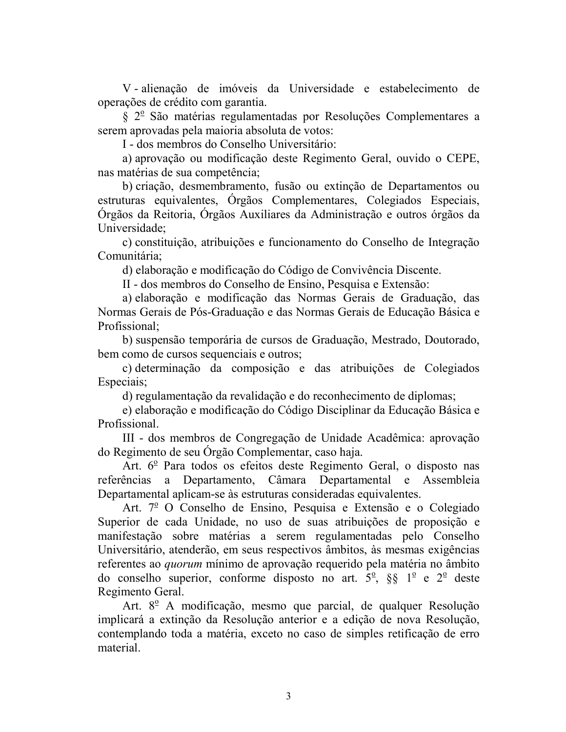V-alienação de imóveis da Universidade e estabelecimento de operações de crédito com garantia.

§ 2<sup>°</sup> São matérias regulamentadas por Resoluções Complementares a serem aprovadas pela maioria absoluta de votos:

I - dos membros do Conselho Universitário:

a) aprovação ou modificação deste Regimento Geral, ouvido o CEPE, nas matérias de sua competência;

b) criação, desmembramento, fusão ou extinção de Departamentos ou estruturas equivalentes, Orgãos Complementares, Colegiados Especiais, Órgãos da Reitoria, Órgãos Auxiliares da Administração e outros órgãos da Universidade;

c) constituição, atribuições e funcionamento do Conselho de Integração Comunitária:

d) elaboração e modificação do Código de Convivência Discente.

II - dos membros do Conselho de Ensino, Pesquisa e Extensão:

a) elaboração e modificação das Normas Gerais de Graduação, das Normas Gerais de Pós-Graduação e das Normas Gerais de Educação Básica e Profissional:

b) suspensão temporária de cursos de Graduação, Mestrado, Doutorado, bem como de cursos sequenciais e outros;

c) determinação da composição e das atribuições de Colegiados Especiais;

d) regulamentação da revalidação e do reconhecimento de diplomas;

e) elaboração e modificação do Código Disciplinar da Educação Básica e Profissional.

III - dos membros de Congregação de Unidade Acadêmica: aprovação do Regimento de seu Órgão Complementar, caso haja.

Art.  $6^{\circ}$  Para todos os efeitos deste Regimento Geral, o disposto nas referências a Departamento, Câmara Departamental e Assembleia Departamental aplicam-se às estruturas consideradas equivalentes.

Art. 7<sup>º</sup> O Conselho de Ensino, Pesquisa e Extensão e o Colegiado Superior de cada Unidade, no uso de suas atribuições de proposição e manifestação sobre matérias a serem regulamentadas pelo Conselho Universitário, atenderão, em seus respectivos âmbitos, às mesmas exigências referentes ao *quorum* mínimo de aprovação requerido pela matéria no âmbito do conselho superior, conforme disposto no art.  $5^{\circ}$ , §§  $1^{\circ}$  e  $2^{\circ}$  deste Regimento Geral.

Art. 8<sup>°</sup> A modificação, mesmo que parcial, de qualquer Resolução implicará a extinção da Resolução anterior e a edição de nova Resolução, contemplando toda a matéria, exceto no caso de simples retificação de erro material.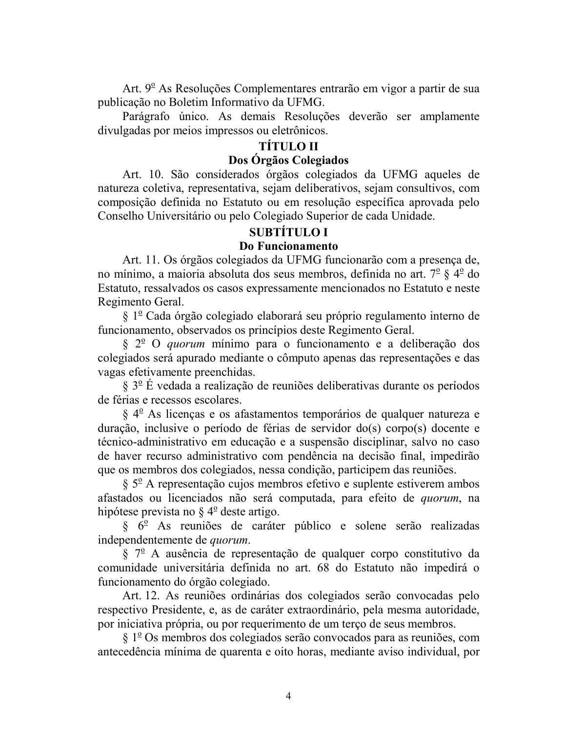Art. 9<sup>°</sup> As Resoluções Complementares entrarão em vigor a partir de sua publicação no Boletim Informativo da UFMG.

Parágrafo único. As demais Resoluções deverão ser amplamente divulgadas por meios impressos ou eletrônicos.

# **TÍTULO II**

# Dos Órgãos Colegiados

Art. 10. São considerados órgãos colegiados da UFMG aqueles de natureza coletiva, representativa, sejam deliberativos, sejam consultivos, com composição definida no Estatuto ou em resolução específica aprovada pelo Conselho Universitário ou pelo Colegiado Superior de cada Unidade.

## **SUBTÍTULO I**

### Do Funcionamento

Art. 11. Os órgãos colegiados da UFMG funcionarão com a presença de, no mínimo, a maioria absoluta dos seus membros, definida no art.  $7^{\circ}$  §  $4^{\circ}$  do Estatuto, ressalvados os casos expressamente mencionados no Estatuto e neste Regimento Geral.

§ 1<sup>º</sup> Cada órgão colegiado elaborará seu próprio regulamento interno de funcionamento, observados os princípios deste Regimento Geral.

§ 2<sup>°</sup> O *quorum* mínimo para o funcionamento e a deliberação dos colegiados será apurado mediante o cômputo apenas das representações e das vagas efetivamente preenchidas.

 $\S 3^{\circ}$  É vedada a realização de reuniões deliberativas durante os períodos de férias e recessos escolares.

 $\S 4^{\circ}$  As licenças e os afastamentos temporários de qualquer natureza e duração, inclusive o período de férias de servidor do(s) corpo(s) docente e técnico-administrativo em educação e a suspensão disciplinar, salvo no caso de haver recurso administrativo com pendência na decisão final, impedirão que os membros dos colegiados, nessa condição, participem das reuniões.

 $\S$  5<sup>o</sup> A representação cujos membros efetivo e suplente estiverem ambos afastados ou licenciados não será computada, para efeito de *quorum*, na hipótese prevista no  $\S 4^{\circ}$  deste artigo.

 $\S$  6<sup>°</sup> As reuniões de caráter público e solene serão realizadas independentemente de *quorum*.

 $\S$  7<sup>o</sup> A ausência de representação de qualquer corpo constitutivo da comunidade universitária definida no art. 68 do Estatuto não impedirá o funcionamento do órgão colegiado.

Art. 12. As reuniões ordinárias dos colegiados serão convocadas pelo respectivo Presidente, e, as de caráter extraordinário, pela mesma autoridade, por iniciativa própria, ou por requerimento de um terço de seus membros.

 $\S 1^{\circ}$  Os membros dos colegiados serão convocados para as reuniões, com antecedência mínima de quarenta e oito horas, mediante aviso individual, por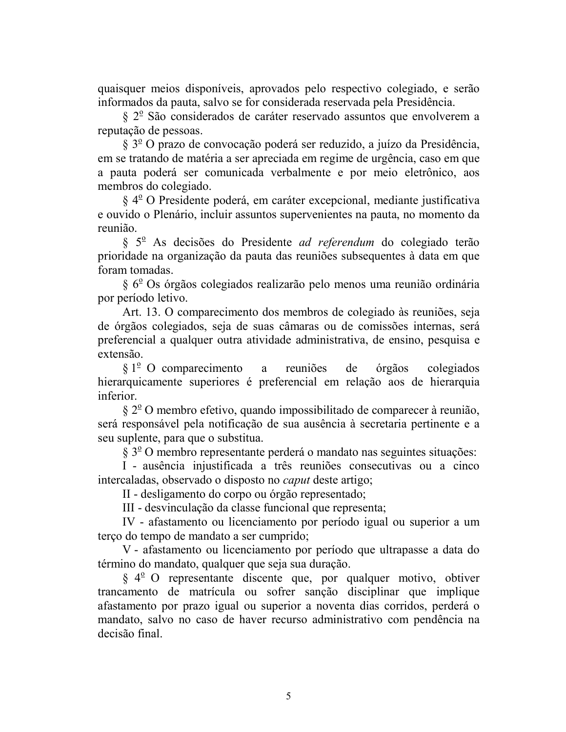quaisquer meios disponíveis, aprovados pelo respectivo colegiado, e serão informados da pauta, salvo se for considerada reservada pela Presidência.

 $\S 2^{\circ}$  São considerados de caráter reservado assuntos que envolverem a reputação de pessoas.

 $\S 3^{\circ}$ O prazo de convocação poderá ser reduzido, a juízo da Presidência, em se tratando de matéria a ser apreciada em regime de urgência, caso em que a pauta poderá ser comunicada verbalmente e por meio eletrônico, aos membros do colegiado.

§ 4<sup>°</sup> O Presidente poderá, em caráter excepcional, mediante justificativa e ouvido o Plenário, incluir assuntos supervenientes na pauta, no momento da reunião.

§ 5<sup>°</sup> As decisões do Presidente *ad referendum* do colegiado terão prioridade na organização da pauta das reuniões subsequentes à data em que foram tomadas.

§ 6<sup>°</sup> Os órgãos colegiados realizarão pelo menos uma reunião ordinária por período letivo.

Art. 13. O comparecimento dos membros de colegiado às reuniões, seja de órgãos colegiados, seja de suas câmaras ou de comissões internas, será preferencial a qualquer outra atividade administrativa, de ensino, pesquisa e extensão

 $\S 1^{\circ}$  O comparecimento a reuniões de colegiados órgãos hierarquicamente superiores é preferencial em relação aos de hierarquia inferior

 $\S 2^{\circ}$ O membro efetivo, quando impossibilitado de comparecer à reunião, será responsável pela notificação de sua ausência à secretaria pertinente e a seu suplente, para que o substitua.

 $\S 3^{\circ}$  O membro representante perderá o mandato nas seguintes situações:

I - ausência injustificada a três reuniões consecutivas ou a cinco intercaladas, observado o disposto no *caput* deste artigo;

II - desligamento do corpo ou órgão representado;

III - desvinculação da classe funcional que representa;

IV - afastamento ou licenciamento por período igual ou superior a um terço do tempo de mandato a ser cumprido;

V - afastamento ou licenciamento por período que ultrapasse a data do término do mandato, qualquer que seja sua duração.

 $\S 4^{\circ}$  O representante discente que, por qualquer motivo, obtiver trancamento de matrícula ou sofrer sanção disciplinar que implique afastamento por prazo igual ou superior a noventa dias corridos, perderá o mandato, salvo no caso de haver recurso administrativo com pendência na decisão final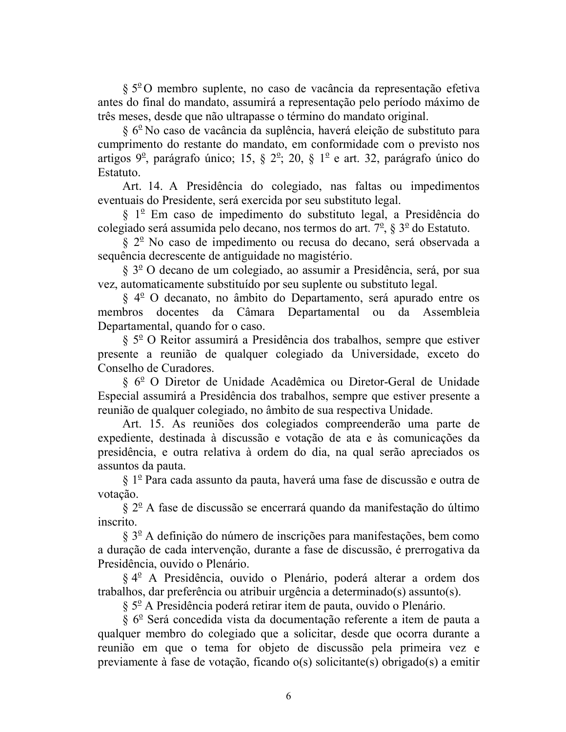$\S 5^{\circ}$ O membro suplente, no caso de vacância da representação efetiva antes do final do mandato, assumirá a representação pelo período máximo de três meses, desde que não ultrapasse o término do mandato original.

 $\S 6^{\circ}$  No caso de vacância da suplência, haverá eleição de substituto para cumprimento do restante do mandato, em conformidade com o previsto nos artigos  $9^{\circ}$ , parágrafo único; 15, §  $2^{\circ}$ ; 20, § 1<sup>°</sup> e art. 32, parágrafo único do Estatuto.

Art. 14. A Presidência do colegiado, nas faltas ou impedimentos eventuais do Presidente, será exercida por seu substituto legal.

§ 1<sup>º</sup> Em caso de impedimento do substituto legal, a Presidência do colegiado será assumida pelo decano, nos termos do art.  $7^{\circ}$ , §  $3^{\circ}$  do Estatuto.

§ 2<sup>°</sup> No caso de impedimento ou recusa do decano, será observada a sequência decrescente de antiguidade no magistério.

§ 3<sup>o</sup> O decano de um colegiado, ao assumir a Presidência, será, por sua vez, automaticamente substituído por seu suplente ou substituto legal.

§ 4<sup>o</sup> O decanato, no âmbito do Departamento, será apurado entre os membros docentes da Câmara Departamental ou da Assembleia Departamental, quando for o caso.

§ 5<sup>o</sup> O Reitor assumirá a Presidência dos trabalhos, sempre que estiver presente a reunião de qualquer colegiado da Universidade, exceto do Conselho de Curadores.

§ 6<sup>°</sup> O Diretor de Unidade Acadêmica ou Diretor-Geral de Unidade Especial assumirá a Presidência dos trabalhos, sempre que estiver presente a reunião de qualquer colegiado, no âmbito de sua respectiva Unidade.

Art. 15. As reuniões dos colegiados compreenderão uma parte de expediente, destinada à discussão e votação de ata e às comunicações da presidência, e outra relativa à ordem do dia, na qual serão apreciados os assuntos da pauta.

§ 1º Para cada assunto da pauta, haverá uma fase de discussão e outra de votação.

 $\S 2^{\circ}$  A fase de discussão se encerrará quando da manifestação do último inscrito.

 $\S 3^{\circ}$  A definição do número de inscrições para manifestações, bem como a duração de cada intervenção, durante a fase de discussão, é prerrogativa da Presidência, ouvido o Plenário.

§ 4<sup>°</sup> A Presidência, ouvido o Plenário, poderá alterar a ordem dos trabalhos, dar preferência ou atribuir urgência a determinado(s) assunto(s).

§ 5º A Presidência poderá retirar item de pauta, ouvido o Plenário.

§ 6º Será concedida vista da documentação referente a item de pauta a qualquer membro do colegiado que a solicitar, desde que ocorra durante a reunião em que o tema for objeto de discussão pela primeira vez e previamente à fase de votação, ficando o(s) solicitante(s) obrigado(s) a emitir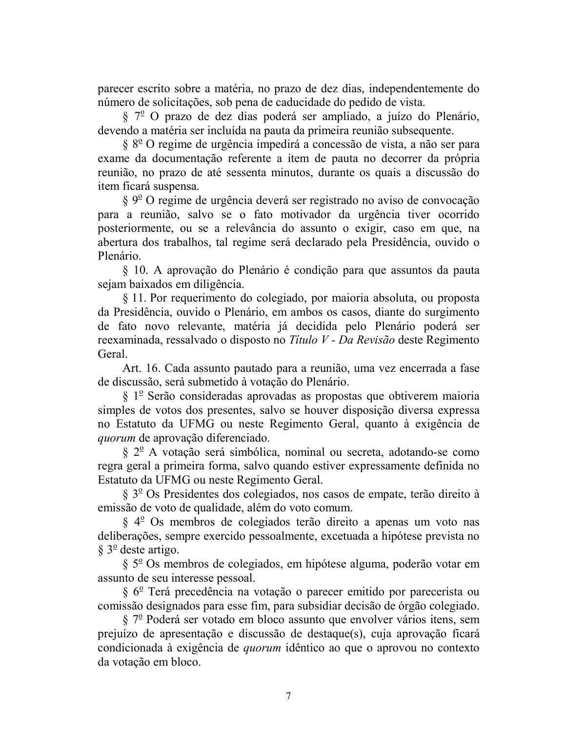parecer escrito sobre a matéria, no prazo de dez dias, independentemente do número de solicitações, sob pena de caducidade do pedido de vista.

§ 7<sup>°</sup> O prazo de dez dias poderá ser ampliado, a juízo do Plenário, devendo a matéria ser incluída na pauta da primeira reunião subsequente.

 $\S 8^{\circ}$  O regime de urgência impedirá a concessão de vista, a não ser para exame da documentação referente a item de pauta no decorrer da própria reunião, no prazo de até sessenta minutos, durante os quais a discussão do item ficará suspensa.

 $\S 9^{\circ}$ O regime de urgência deverá ser registrado no aviso de convocação para a reunião, salvo se o fato motivador da urgência tiver ocorrido posteriormente, ou se a relevância do assunto o exigir, caso em que, na abertura dos trabalhos, tal regime será declarado pela Presidência, ouvido o Plenário

§ 10. A aprovação do Plenário é condição para que assuntos da pauta sejam baixados em diligência.

§ 11. Por requerimento do colegiado, por maioria absoluta, ou proposta da Presidência, ouvido o Plenário, em ambos os casos, diante do surgimento de fato novo relevante, matéria já decidida pelo Plenário poderá ser reexaminada, ressalvado o disposto no Título V - Da Revisão deste Regimento Geral

Art. 16. Cada assunto pautado para a reunião, uma vez encerrada a fase de discussão, será submetido à votação do Plenário.

 $\S$  1<sup>°</sup> Serão consideradas aprovadas as propostas que obtiverem maioria simples de votos dos presentes, salvo se houver disposição diversa expressa no Estatuto da UFMG ou neste Regimento Geral, quanto à exigência de *auorum* de aprovação diferenciado.

 $\S 2^{\circ}$  A votação será simbólica, nominal ou secreta, adotando-se como regra geral a primeira forma, salvo quando estiver expressamente definida no Estatuto da UFMG ou neste Regimento Geral.

§ 3<sup>o</sup> Os Presidentes dos colegiados, nos casos de empate, terão direito à emissão de voto de qualidade, além do voto comum.

§ 4<sup>o</sup> Os membros de colegiados terão direito a apenas um voto nas deliberações, sempre exercido pessoalmente, excetuada a hipótese prevista no  $\S 3^{\circ}$  deste artigo.

 $\S$  5<sup>o</sup> Os membros de colegiados, em hipótese alguma, poderão votar em assunto de seu interesse pessoal.

§ 6<sup>°</sup> Terá precedência na votação o parecer emitido por parecerista ou comissão designados para esse fim, para subsidiar decisão de órgão colegiado.

 $\S 7^{\circ}$  Poderá ser votado em bloco assunto que envolver vários itens, sem prejuízo de apresentação e discussão de destaque(s), cuja aprovação ficará condicionada à exigência de *quorum* idêntico ao que o aprovou no contexto da votação em bloco.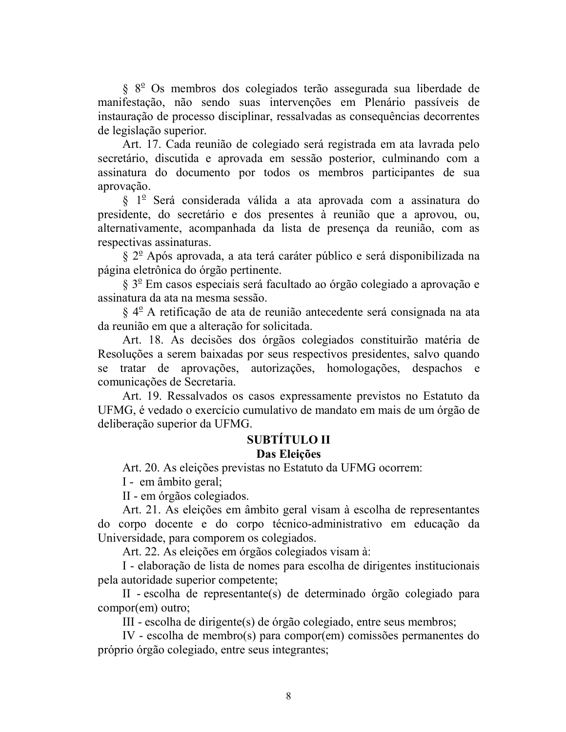§ 8<sup>°</sup> Os membros dos colegiados terão assegurada sua liberdade de manifestação, não sendo suas intervenções em Plenário passíveis de instauração de processo disciplinar, ressalvadas as consequências decorrentes de legislação superior.

Art. 17. Cada reunião de colegiado será registrada em ata lavrada pelo secretário, discutida e aprovada em sessão posterior, culminando com a assinatura do documento por todos os membros participantes de sua aprovação.

§ 1<sup>º</sup> Será considerada válida a ata aprovada com a assinatura do presidente, do secretário e dos presentes à reunião que a aprovou, ou, alternativamente, acompanhada da lista de presença da reunião, com as respectivas assinaturas.

 $\S 2^{\circ}$  Após aprovada, a ata terá caráter público e será disponibilizada na página eletrônica do órgão pertinente.

§ 3º Em casos especiais será facultado ao órgão colegiado a aprovação e assinatura da ata na mesma sessão.

§ 4<sup>°</sup> A retificação de ata de reunião antecedente será consignada na ata da reunião em que a alteração for solicitada.

Art. 18. As decisões dos órgãos colegiados constituirão matéria de Resoluções a serem baixadas por seus respectivos presidentes, salvo quando se tratar de aprovações, autorizações, homologações, despachos e comunicações de Secretaria.

Art. 19. Ressalvados os casos expressamente previstos no Estatuto da UFMG, é vedado o exercício cumulativo de mandato em mais de um órgão de deliberação superior da UFMG.

# **SUBTÍTULO II**

# Das Eleições

Art. 20. As eleições previstas no Estatuto da UFMG ocorrem:

I - em âmbito geral;

II - em órgãos colegiados.

Art. 21. As eleições em âmbito geral visam à escolha de representantes do corpo docente e do corpo técnico-administrativo em educação da Universidade, para comporem os colegiados.

Art. 22. As eleições em órgãos colegiados visam à:

I - elaboração de lista de nomes para escolha de dirigentes institucionais pela autoridade superior competente;

II - escolha de representante(s) de determinado órgão colegiado para compor(em) outro;

III - escolha de dirigente(s) de órgão colegiado, entre seus membros;

IV - escolha de membro(s) para compor(em) comissões permanentes do próprio órgão colegiado, entre seus integrantes;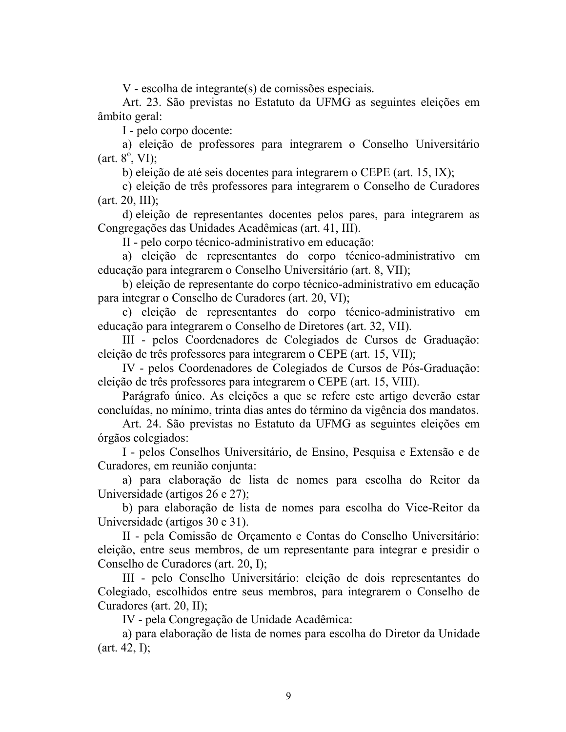V - escolha de integrante(s) de comissões especiais.

Art. 23. São previstas no Estatuto da UFMG as seguintes eleições em âmbito geral:

I - pelo corpo docente:

a) eleição de professores para integrarem o Conselho Universitário  $(art. 8<sup>o</sup>, VI);$ 

b) eleição de até seis docentes para integrarem o CEPE (art. 15, IX);

c) eleição de três professores para integrarem o Conselho de Curadores  $(art. 20, III);$ 

d) eleição de representantes docentes pelos pares, para integrarem as Congregações das Unidades Acadêmicas (art. 41, III).

II - pelo corpo técnico-administrativo em educação:

a) eleição de representantes do corpo técnico-administrativo em educação para integrarem o Conselho Universitário (art. 8, VII);

b) eleição de representante do corpo técnico-administrativo em educação para integrar o Conselho de Curadores (art. 20, VI);

c) eleição de representantes do corpo técnico-administrativo em educação para integrarem o Conselho de Diretores (art. 32, VII).

III - pelos Coordenadores de Colegiados de Cursos de Graduação: eleição de três professores para integrarem o CEPE (art. 15, VII);

IV - pelos Coordenadores de Colegiados de Cursos de Pós-Graduação: eleição de três professores para integrarem o CEPE (art. 15, VIII).

Parágrafo único. As eleições a que se refere este artigo deverão estar concluídas, no mínimo, trinta dias antes do término da vigência dos mandatos.

Art. 24. São previstas no Estatuto da UFMG as seguintes eleições em órgãos colegiados:

I - pelos Conselhos Universitário, de Ensino, Pesquisa e Extensão e de Curadores, em reunião conjunta:

a) para elaboração de lista de nomes para escolha do Reitor da Universidade (artigos  $26$  e  $27$ );

b) para elaboração de lista de nomes para escolha do Vice-Reitor da Universidade (artigos 30 e 31).

II - pela Comissão de Orçamento e Contas do Conselho Universitário: eleição, entre seus membros, de um representante para integrar e presidir o Conselho de Curadores (art. 20, I);

III - pelo Conselho Universitário: eleição de dois representantes do Colegiado, escolhidos entre seus membros, para integrarem o Conselho de Curadores (art. 20, II);

IV - pela Congregação de Unidade Acadêmica:

a) para elaboração de lista de nomes para escolha do Diretor da Unidade  $(art. 42, I);$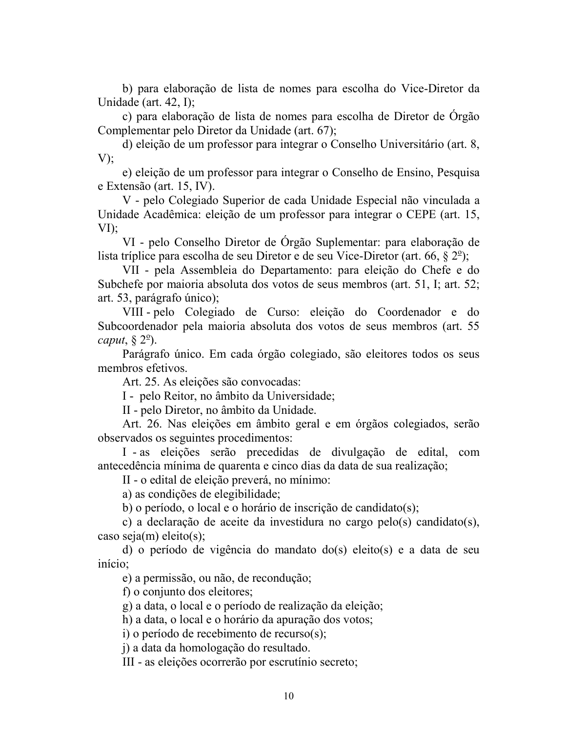b) para elaboração de lista de nomes para escolha do Vice-Diretor da Unidade (art.  $42$ , I);

c) para elaboração de lista de nomes para escolha de Diretor de Orgão Complementar pelo Diretor da Unidade (art. 67);

d) eleição de um professor para integrar o Conselho Universitário (art. 8,  $V$ );

e) eleição de um professor para integrar o Conselho de Ensino, Pesquisa e Extensão (art. 15, IV).

V - pelo Colegiado Superior de cada Unidade Especial não vinculada a Unidade Acadêmica: eleição de um professor para integrar o CEPE (art. 15,  $VI$ );

VI - pelo Conselho Diretor de Órgão Suplementar: para elaboração de lista tríplice para escolha de seu Diretor e de seu Vice-Diretor (art. 66,  $\S 2^{\circ}$ );

VII - pela Assembleia do Departamento: para eleição do Chefe e do Subchefe por maioria absoluta dos votos de seus membros (art. 51, I; art. 52; art. 53, parágrafo único);

VIII-pelo Colegiado de Curso: eleição do Coordenador e do Subcoordenador pela maioria absoluta dos votos de seus membros (art. 55 caput,  $\S 2^{\circ}$ ).

Parágrafo único. Em cada órgão colegiado, são eleitores todos os seus membros efetivos.

Art. 25. As eleições são convocadas:

I - pelo Reitor, no âmbito da Universidade;

II - pelo Diretor, no âmbito da Unidade.

Art. 26. Nas eleições em âmbito geral e em órgãos colegiados, serão observados os seguintes procedimentos:

I - as eleições serão precedidas de divulgação de edital, com antecedência mínima de quarenta e cinco dias da data de sua realização;

II - o edital de eleição preverá, no mínimo:

a) as condições de elegibilidade;

b) o período, o local e o horário de inscrição de candidato(s);

c) a declaração de aceite da investidura no cargo pelo(s) candidato(s), caso seja $(m)$  eleito $(s)$ :

d) o período de vigência do mandato do(s) eleito(s) e a data de seu início:

e) a permissão, ou não, de recondução;

f) o conjunto dos eleitores;

g) a data, o local e o período de realização da eleição;

h) a data, o local e o horário da apuração dos votos;

i) o período de recebimento de recurso(s);

j) a data da homologação do resultado.

III - as eleições ocorrerão por escrutínio secreto;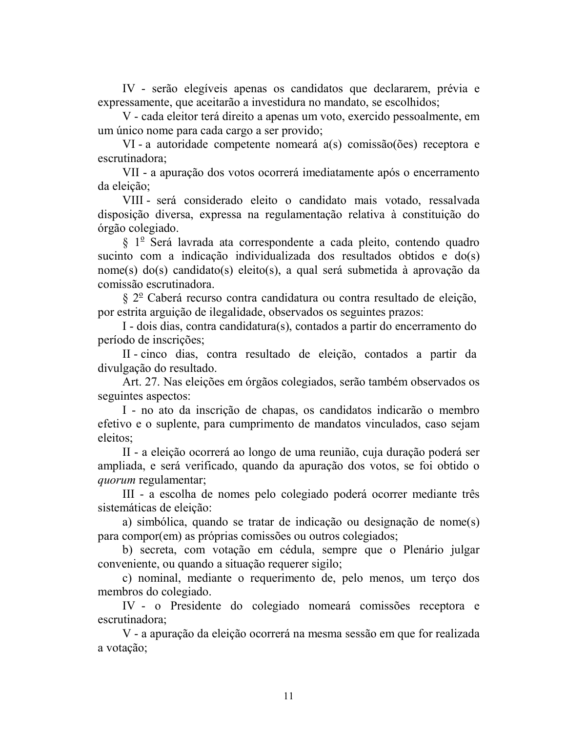IV - serão elegíveis apenas os candidatos que declararem, prévia e expressamente, que aceitarão a investidura no mandato, se escolhidos;

V - cada eleitor terá direito a apenas um voto, exercido pessoalmente, em um único nome para cada cargo a ser provido;

VI - a autoridade competente nomeará a(s) comissão(ões) receptora e escrutinadora:

VII - a apuração dos votos ocorrerá imediatamente após o encerramento da eleição:

VIII - será considerado eleito o candidato mais votado, ressalvada disposição diversa, expressa na regulamentação relativa à constituição do órgão colegiado.

§ 1º Será lavrada ata correspondente a cada pleito, contendo quadro sucinto com a indicação individualizada dos resultados obtidos e do(s) nome(s) do(s) candidato(s) eleito(s), a qual será submetida à aprovação da comissão escrutinadora.

§ 2º Caberá recurso contra candidatura ou contra resultado de eleição, por estrita arguição de ilegalidade, observados os seguintes prazos:

I - dois dias, contra candidatura(s), contados a partir do encerramento do período de inscrições;

II-cinco dias, contra resultado de eleição, contados a partir da divulgação do resultado.

Art. 27. Nas eleições em órgãos colegiados, serão também observados os seguintes aspectos:

I - no ato da inscrição de chapas, os candidatos indicarão o membro efetivo e o suplente, para cumprimento de mandatos vinculados, caso sejam eleitos:

II - a eleição ocorrerá ao longo de uma reunião, cuja duração poderá ser ampliada, e será verificado, quando da apuração dos votos, se foi obtido o *quorum* regulamentar;

III - a escolha de nomes pelo colegiado poderá ocorrer mediante três sistemáticas de eleição:

a) simbólica, quando se tratar de indicação ou designação de nome(s) para compor(em) as próprias comissões ou outros colegiados;

b) secreta, com votação em cédula, sempre que o Plenário julgar conveniente, ou quando a situação requerer sigilo;

c) nominal, mediante o requerimento de, pelo menos, um terço dos membros do colegiado.

IV - o Presidente do colegiado nomeará comissões receptora e escrutinadora;

V - a apuração da eleição ocorrerá na mesma sessão em que for realizada a votação;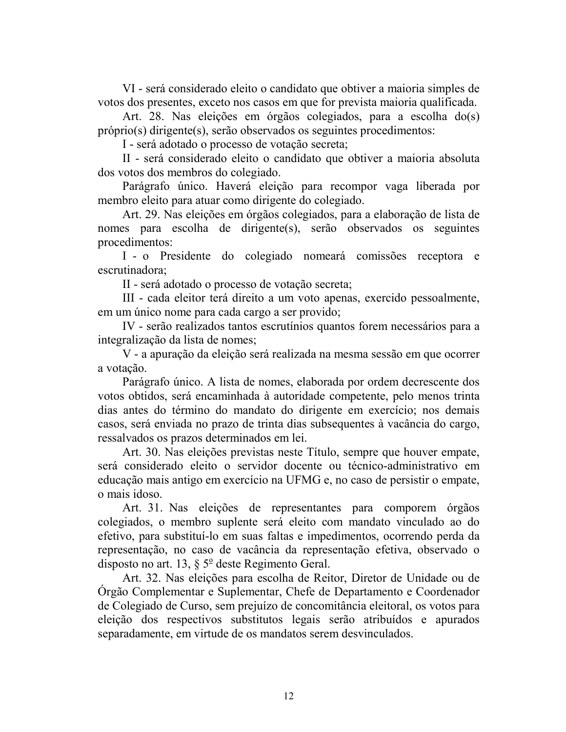VI - será considerado eleito o candidato que obtiver a maioria simples de votos dos presentes, exceto nos casos em que for prevista maioria qualificada.

Art. 28. Nas eleições em órgãos colegiados, para a escolha do(s) próprio(s) dirigente(s), serão observados os seguintes procedimentos:

I - será adotado o processo de votação secreta;

II - será considerado eleito o candidato que obtiver a maioria absoluta dos votos dos membros do colegiado.

Parágrafo único. Haverá eleição para recompor vaga liberada por membro eleito para atuar como dirigente do colegiado.

Art. 29. Nas eleições em órgãos colegiados, para a elaboração de lista de nomes para escolha de dirigente(s), serão observados os seguintes procedimentos:

I - o Presidente do colegiado nomeará comissões receptora e escrutinadora:

II - será adotado o processo de votação secreta;

III - cada eleitor terá direito a um voto apenas, exercido pessoalmente, em um único nome para cada cargo a ser provido;

IV - serão realizados tantos escrutínios quantos forem necessários para a integralização da lista de nomes;

V - a apuração da eleição será realizada na mesma sessão em que ocorrer a votação.

Parágrafo único. A lista de nomes, elaborada por ordem decrescente dos votos obtidos, será encaminhada à autoridade competente, pelo menos trinta dias antes do término do mandato do dirigente em exercício; nos demais casos, será enviada no prazo de trinta dias subsequentes à vacância do cargo, ressalvados os prazos determinados em lei.

Art. 30. Nas eleições previstas neste Título, sempre que houver empate, será considerado eleito o servidor docente ou técnico-administrativo em educação mais antigo em exercício na UFMG e, no caso de persistir o empate, o mais idoso.

Art. 31. Nas eleições de representantes para comporem órgãos colegiados, o membro suplente será eleito com mandato vinculado ao do efetivo, para substituí-lo em suas faltas e impedimentos, ocorrendo perda da representação, no caso de vacância da representação efetiva, observado o disposto no art. 13,  $\S 5^{\circ}$  deste Regimento Geral.

Art. 32. Nas eleições para escolha de Reitor, Diretor de Unidade ou de Órgão Complementar e Suplementar, Chefe de Departamento e Coordenador de Colegiado de Curso, sem prejuízo de concomitância eleitoral, os votos para eleição dos respectivos substitutos legais serão atribuídos e apurados separadamente, em virtude de os mandatos serem desvinculados.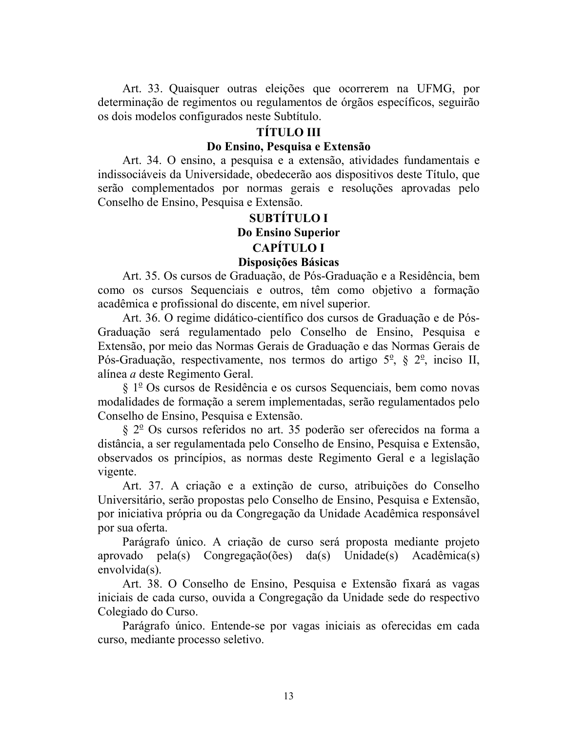Art. 33. Quaisquer outras eleições que ocorrerem na UFMG, por determinação de regimentos ou regulamentos de órgãos específicos, seguirão os dois modelos configurados neste Subtítulo.

### **TÍTULO III**

#### Do Ensino, Pesquisa e Extensão

Art. 34. O ensino, a pesquisa e a extensão, atividades fundamentais e indissociáveis da Universidade, obedecerão aos dispositivos deste Título, que serão complementados por normas gerais e resoluções aprovadas pelo Conselho de Ensino, Pesquisa e Extensão.

# **SUBTITULO I** Do Ensino Superior **CAPÍTULO I**

#### Disposições Básicas

Art. 35. Os cursos de Graduação, de Pós-Graduação e a Residência, bem como os cursos Sequenciais e outros, têm como objetivo a formação acadêmica e profissional do discente, em nível superior.

Art. 36. O regime didático-científico dos cursos de Graduação e de Pós-Graduação será regulamentado pelo Conselho de Ensino, Pesquisa e Extensão, por meio das Normas Gerais de Graduação e das Normas Gerais de Pós-Graduação, respectivamente, nos termos do artigo  $5^\circ$ ,  $\S 2^\circ$ , inciso II, alínea a deste Regimento Geral.

 $\S 1^{\circ}$  Os cursos de Residência e os cursos Sequenciais, bem como novas modalidades de formação a serem implementadas, serão regulamentados pelo Conselho de Ensino, Pesquisa e Extensão.

 $\S 2^{\circ}$  Os cursos referidos no art. 35 poderão ser oferecidos na forma a distância, a ser regulamentada pelo Conselho de Ensino, Pesquisa e Extensão, observados os princípios, as normas deste Regimento Geral e a legislação vigente.

Art. 37. A criação e a extinção de curso, atribuições do Conselho Universitário, serão propostas pelo Conselho de Ensino, Pesquisa e Extensão, por iniciativa própria ou da Congregação da Unidade Acadêmica responsável por sua oferta.

Parágrafo único. A criação de curso será proposta mediante projeto aprovado pela(s) Congregação(ões) da(s) Unidade(s) Acadêmica(s) envolvida(s).

Art. 38. O Conselho de Ensino, Pesquisa e Extensão fixará as vagas iniciais de cada curso, ouvida a Congregação da Unidade sede do respectivo Colegiado do Curso.

Parágrafo único. Entende-se por vagas iniciais as oferecidas em cada curso, mediante processo seletivo.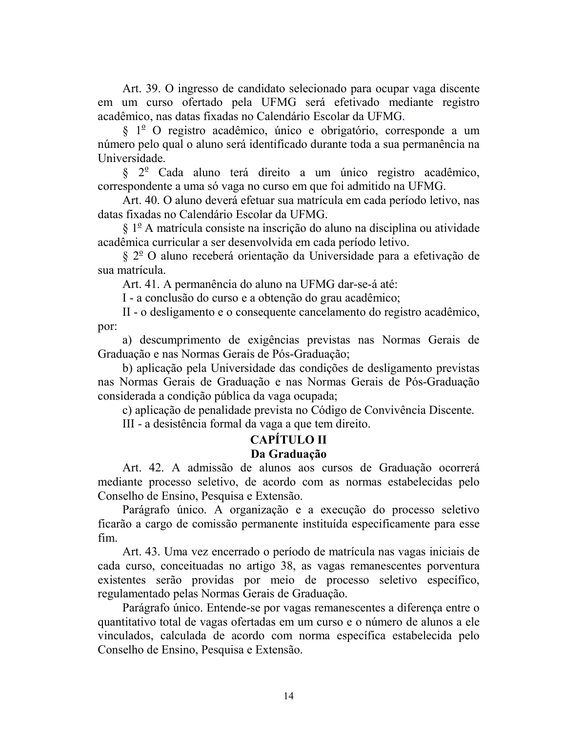Art. 39. O ingresso de candidato selecionado para ocupar vaga discente em um curso ofertado pela UFMG será efetivado mediante registro acadêmico, nas datas fixadas no Calendário Escolar da UFMG.

 $\S$  1<sup>o</sup> O registro acadêmico, único e obrigatório, corresponde a um número pelo qual o aluno será identificado durante toda a sua permanência na Universidade.

 $\frac{1}{2}$  Cada aluno terá direito a um único registro acadêmico, correspondente a uma só vaga no curso em que foi admitido na UFMG.

Art. 40. O aluno deverá efetuar sua matrícula em cada período letivo, nas datas fixadas no Calendário Escolar da UFMG.

 $\S 1^{\circ}$  A matrícula consiste na inscrição do aluno na disciplina ou atividade acadêmica curricular a ser desenvolvida em cada período letivo.

 $\S 2^{\circ}$  O aluno receberá orientação da Universidade para a efetivação de sua matrícula.

Art. 41. A permanência do aluno na UFMG dar-se-á até:

I - a conclusão do curso e a obtenção do grau acadêmico;

II - o desligamento e o consequente cancelamento do registro acadêmico, por:

a) descumprimento de exigências previstas nas Normas Gerais de Graduação e nas Normas Gerais de Pós-Graduação;

b) aplicação pela Universidade das condições de desligamento previstas nas Normas Gerais de Graduação e nas Normas Gerais de Pós-Graduação considerada a condição pública da vaga ocupada;

c) aplicação de penalidade prevista no Código de Convivência Discente.

III - a desistência formal da vaga a que tem direito.

# **CAPÍTULO II**

#### Da Graduação

Art. 42. A admissão de alunos aos cursos de Graduação ocorrerá mediante processo seletivo, de acordo com as normas estabelecidas pelo Conselho de Ensino, Pesquisa e Extensão.

Parágrafo único. A organização e a execução do processo seletivo ficarão a cargo de comissão permanente instituída especificamente para esse fim.

Art. 43. Uma vez encerrado o período de matrícula nas vagas iniciais de cada curso, conceituadas no artigo 38, as vagas remanescentes porventura existentes serão providas por meio de processo seletivo específico, regulamentado pelas Normas Gerais de Graduação.

Parágrafo único. Entende-se por vagas remanescentes a diferença entre o quantitativo total de vagas ofertadas em um curso e o número de alunos a ele vinculados, calculada de acordo com norma específica estabelecida pelo Conselho de Ensino, Pesquisa e Extensão.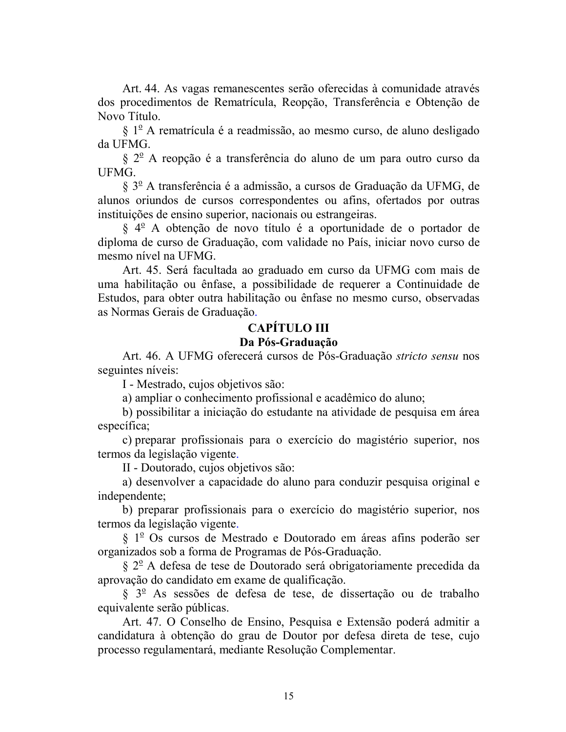Art. 44. As vagas remanescentes serão oferecidas à comunidade através dos procedimentos de Rematrícula, Reopção, Transferência e Obtenção de Novo Título.

 $\S 1^{\circ}$  A rematrícula é a readmissão, ao mesmo curso, de aluno desligado da UFMG.

§ 2<sup>°</sup> A reopção é a transferência do aluno de um para outro curso da UFMG.

 $\S 3^{\circ}$  A transferência é a admissão, a cursos de Graduação da UFMG, de alunos oriundos de cursos correspondentes ou afins, ofertados por outras instituições de ensino superior, nacionais ou estrangeiras.

 $\S 4^{\circ}$  A obtenção de novo título é a oportunidade de o portador de diploma de curso de Graduação, com validade no País, iniciar novo curso de mesmo nível na UFMG.

Art. 45. Será facultada ao graduado em curso da UFMG com mais de uma habilitação ou ênfase, a possibilidade de requerer a Continuidade de Estudos, para obter outra habilitação ou ênfase no mesmo curso, observadas as Normas Gerais de Graduação.

### **CAPÍTULO III**

### Da Pós-Graduação

Art. 46. A UFMG oferecerá cursos de Pós-Graduação stricto sensu nos seguintes níveis:

I - Mestrado, cujos objetivos são:

a) ampliar o conhecimento profissional e acadêmico do aluno;

b) possibilitar a iniciação do estudante na atividade de pesquisa em área específica;

c) preparar profissionais para o exercício do magistério superior, nos termos da legislação vigente.

II - Doutorado, cujos objetivos são:

a) desenvolver a capacidade do aluno para conduzir pesquisa original e independente;

b) preparar profissionais para o exercício do magistério superior, nos termos da legislação vigente.

§ 1<sup>º</sup> Os cursos de Mestrado e Doutorado em áreas afins poderão ser organizados sob a forma de Programas de Pós-Graduação.

§ 2<sup>°</sup> A defesa de tese de Doutorado será obrigatoriamente precedida da aprovação do candidato em exame de qualificação.

§ 3<sup>o</sup> As sessões de defesa de tese, de dissertação ou de trabalho equivalente serão públicas.

Art. 47. O Conselho de Ensino, Pesquisa e Extensão poderá admitir a candidatura à obtenção do grau de Doutor por defesa direta de tese, cujo processo regulamentará, mediante Resolução Complementar.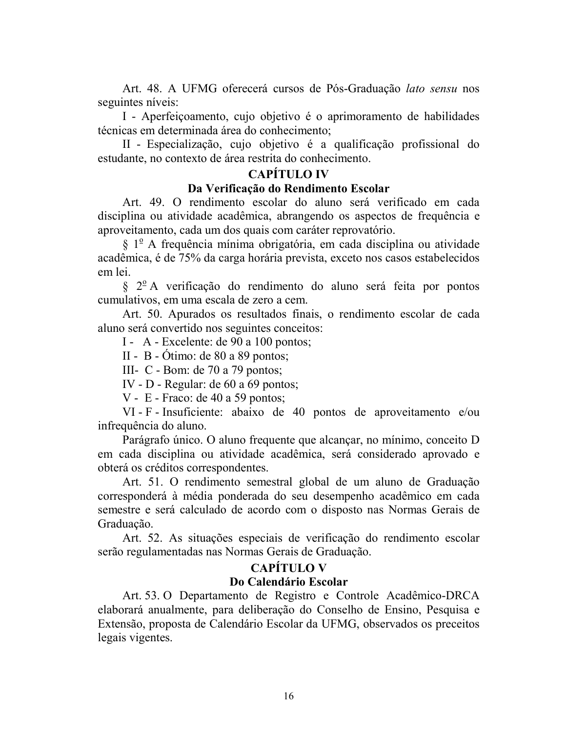Art. 48. A UFMG oferecerá cursos de Pós-Graduação lato sensu nos seguintes níveis:

I - Aperfeiçoamento, cujo objetivo é o aprimoramento de habilidades técnicas em determinada área do conhecimento;

II - Especialização, cujo objetivo é a qualificação profissional do estudante, no contexto de área restrita do conhecimento.

## **CAPÍTILO IV**

#### Da Verificação do Rendimento Escolar

Art. 49. O rendimento escolar do aluno será verificado em cada disciplina ou atividade acadêmica, abrangendo os aspectos de frequência e aproveitamento, cada um dos quais com caráter reprovatório.

 $\S$  1<sup>o</sup> A frequência mínima obrigatória, em cada disciplina ou atividade acadêmica, é de 75% da carga horária prevista, exceto nos casos estabelecidos em lei.

 $\frac{1}{2}$  2<sup>o</sup> A verificação do rendimento do aluno será feita por pontos cumulativos, em uma escala de zero a cem.

Art. 50. Apurados os resultados finais, o rendimento escolar de cada aluno será convertido nos seguintes conceitos:

I - A - Excelente: de 90 a 100 pontos;

 $II - B - Otimo$ : de 80 a 89 pontos;

III- C - Bom: de 70 a 79 pontos;

IV - D - Regular: de  $60$  a  $69$  pontos;

 $V - E$  - Fraco: de 40 a 59 pontos;

VI - F - Insuficiente: abaixo de 40 pontos de aproveitamento e/ou infrequência do aluno.

Parágrafo único. O aluno frequente que alcançar, no mínimo, conceito D em cada disciplina ou atividade acadêmica, será considerado aprovado e obterá os créditos correspondentes.

Art. 51. O rendimento semestral global de um aluno de Graduação corresponderá à média ponderada do seu desempenho acadêmico em cada semestre e será calculado de acordo com o disposto nas Normas Gerais de Graduação.

Art. 52. As situações especiais de verificação do rendimento escolar serão regulamentadas nas Normas Gerais de Graduação.

# **CAPÍTULO V**

### Do Calendário Escolar

Art. 53. O Departamento de Registro e Controle Acadêmico-DRCA elaborará anualmente, para deliberação do Conselho de Ensino, Pesquisa e Extensão, proposta de Calendário Escolar da UFMG, observados os preceitos legais vigentes.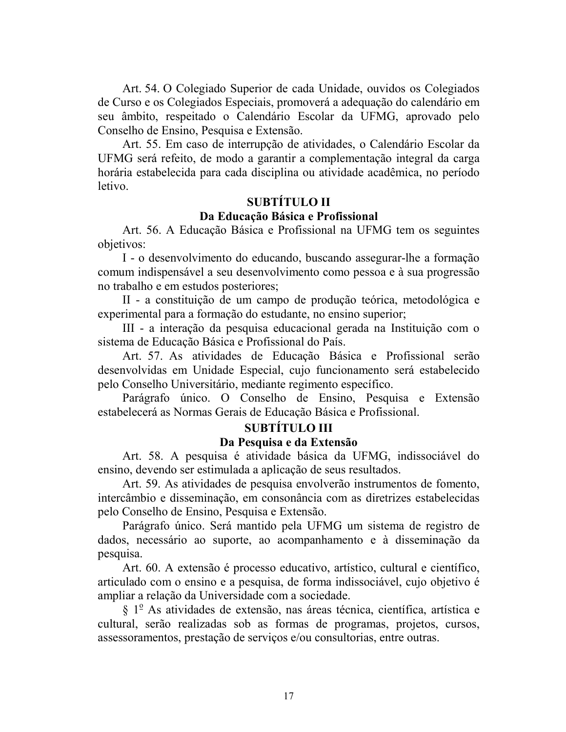Art. 54. O Colegiado Superior de cada Unidade, ouvidos os Colegiados de Curso e os Colegiados Especiais, promoverá a adequação do calendário em seu âmbito, respeitado o Calendário Escolar da UFMG, aprovado pelo Conselho de Ensino, Pesquisa e Extensão.

Art. 55. Em caso de interrupção de atividades, o Calendário Escolar da UFMG será refeito, de modo a garantir a complementação integral da carga horária estabelecida para cada disciplina ou atividade acadêmica, no período letivo

# **SUBTÍTULO II** Da Educação Básica e Profissional

Art. 56. A Educação Básica e Profissional na UFMG tem os seguintes objetivos:

I - o desenvolvimento do educando, buscando assegurar-lhe a formação comum indispensável a seu desenvolvimento como pessoa e à sua progressão no trabalho e em estudos posteriores;

II - a constituição de um campo de produção teórica, metodológica e experimental para a formação do estudante, no ensino superior;

III - a interação da pesquisa educacional gerada na Instituição com o sistema de Educação Básica e Profissional do País.

Art. 57. As atividades de Educação Básica e Profissional serão desenvolvidas em Unidade Especial, cujo funcionamento será estabelecido pelo Conselho Universitário, mediante regimento específico.

Parágrafo único. O Conselho de Ensino, Pesquisa e Extensão estabelecerá as Normas Gerais de Educação Básica e Profissional.

# **SUBTÍTULO III**

## Da Pesquisa e da Extensão

Art. 58. A pesquisa é atividade básica da UFMG, indissociável do ensino, devendo ser estimulada a aplicação de seus resultados.

Art. 59. As atividades de pesquisa envolverão instrumentos de fomento, intercâmbio e disseminação, em consonância com as diretrizes estabelecidas pelo Conselho de Ensino, Pesquisa e Extensão.

Parágrafo único. Será mantido pela UFMG um sistema de registro de dados, necessário ao suporte, ao acompanhamento e à disseminação da pesquisa.

Art. 60. A extensão é processo educativo, artístico, cultural e científico, articulado com o ensino e a pesquisa, de forma indissociável, cujo objetivo é ampliar a relação da Universidade com a sociedade.

 $\S$  1<sup>o</sup> As atividades de extensão, nas áreas técnica, científica, artística e cultural, serão realizadas sob as formas de programas, projetos, cursos, assessoramentos, prestação de serviços e/ou consultorias, entre outras.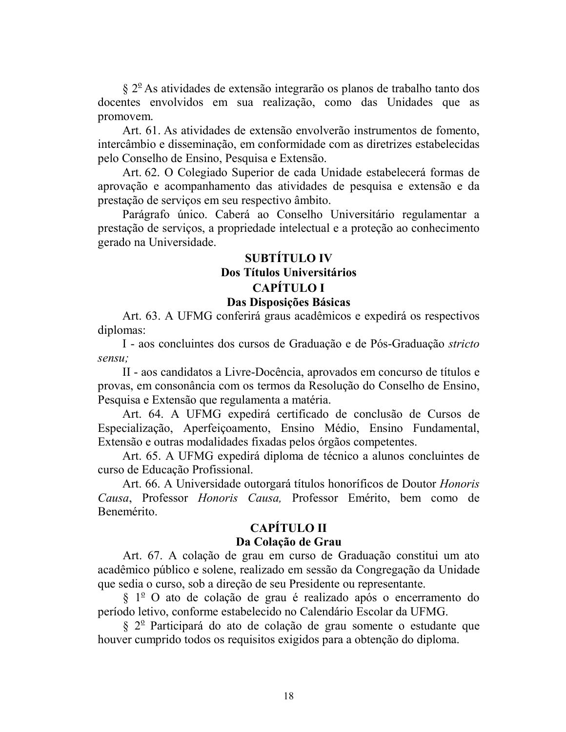$\S 2^{\circ}$  As atividades de extensão integrarão os planos de trabalho tanto dos docentes envolvidos em sua realização, como das Unidades que as promovem.

Art. 61. As atividades de extensão envolverão instrumentos de fomento, intercâmbio e disseminação, em conformidade com as diretrizes estabelecidas pelo Conselho de Ensino, Pesquisa e Extensão.

Art. 62. O Colegiado Superior de cada Unidade estabelecerá formas de aprovação e acompanhamento das atividades de pesquisa e extensão e da prestação de serviços em seu respectivo âmbito.

Parágrafo único. Caberá ao Conselho Universitário regulamentar a prestação de serviços, a propriedade intelectual e a proteção ao conhecimento gerado na Universidade.

# **SUBTÍTULO IV** Dos Títulos Universitários **CAPÍTULO I**

#### Das Disposições Básicas

Art. 63. A UFMG conferirá graus acadêmicos e expedirá os respectivos diplomas:

I - aos concluintes dos cursos de Graduação e de Pós-Graduação *stricto* sensu:

II - aos candidatos a Livre-Docência, aprovados em concurso de títulos e provas, em consonância com os termos da Resolução do Conselho de Ensino, Pesquisa e Extensão que regulamenta a matéria.

Art. 64. A UFMG expedirá certificado de conclusão de Cursos de Especialização, Aperfeicoamento, Ensino Médio, Ensino Fundamental, Extensão e outras modalidades fixadas pelos órgãos competentes.

Art. 65. A UFMG expedirá diploma de técnico a alunos concluintes de curso de Educação Profissional.

Art. 66. A Universidade outorgará títulos honoríficos de Doutor Honoris Causa, Professor Honoris Causa, Professor Emérito, bem como de Benemérito.

# **CAPÍTULO II**

#### Da Colação de Grau

Art. 67. A colação de grau em curso de Graduação constitui um ato acadêmico público e solene, realizado em sessão da Congregação da Unidade que sedia o curso, sob a direção de seu Presidente ou representante.

 $\S 1^{\circ}$  O ato de colação de grau é realizado após o encerramento do período letivo, conforme estabelecido no Calendário Escolar da UFMG.

§ 2<sup>°</sup> Participará do ato de colação de grau somente o estudante que houver cumprido todos os requisitos exigidos para a obtenção do diploma.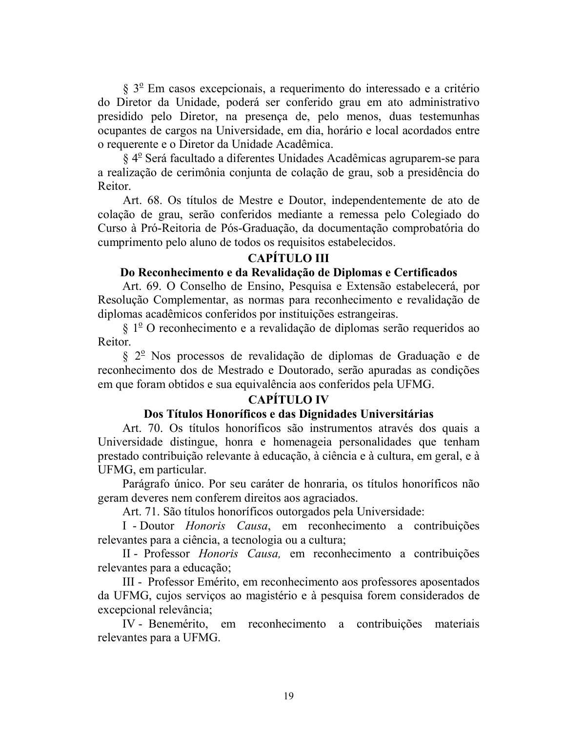§ 3<sup>°</sup> Em casos excepcionais, a requerimento do interessado e a critério do Diretor da Unidade, poderá ser conferido grau em ato administrativo presidido pelo Diretor, na presença de, pelo menos, duas testemunhas ocupantes de cargos na Universidade, em dia, horário e local acordados entre o requerente e o Diretor da Unidade Acadêmica.

§ 4<sup>°</sup> Será facultado a diferentes Unidades Acadêmicas agruparem-se para a realização de cerimônia conjunta de colação de grau, sob a presidência do Reitor.

Art. 68. Os títulos de Mestre e Doutor, independentemente de ato de colação de grau, serão conferidos mediante a remessa pelo Colegiado do Curso à Pró-Reitoria de Pós-Graduação, da documentação comprobatória do cumprimento pelo aluno de todos os requisitos estabelecidos.

# **CAPÍTULO III**

#### Do Reconhecimento e da Revalidação de Diplomas e Certificados

Art. 69. O Conselho de Ensino, Pesquisa e Extensão estabelecerá, por Resolução Complementar, as normas para reconhecimento e revalidação de diplomas acadêmicos conferidos por instituições estrangeiras.

 $\S 1^{\circ}$ O reconhecimento e a revalidação de diplomas serão requeridos ao Reitor.

§ 2<sup>°</sup> Nos processos de revalidação de diplomas de Graduação e de reconhecimento dos de Mestrado e Doutorado, serão apuradas as condições em que foram obtidos e sua equivalência aos conferidos pela UFMG.

# **CAPÍTULO IV**

#### Dos Títulos Honoríficos e das Dignidades Universitárias

Art. 70. Os títulos honoríficos são instrumentos através dos quais a Universidade distingue, honra e homenageia personalidades que tenham prestado contribuição relevante à educação, à ciência e à cultura, em geral, e à UFMG, em particular.

Parágrafo único. Por seu caráter de honraria, os títulos honoríficos não geram deveres nem conferem direitos aos agraciados.

Art. 71. São títulos honoríficos outorgados pela Universidade:

I - Doutor *Honoris Causa*, em reconhecimento a contribuições relevantes para a ciência, a tecnologia ou a cultura;

II - Professor *Honoris Causa*, em reconhecimento a contribuições relevantes para a educação;

III - Professor Emérito, em reconhecimento aos professores aposentados da UFMG, cujos serviços ao magistério e à pesquisa forem considerados de excepcional relevância:

IV - Benemérito, em reconhecimento a contribuições materiais relevantes para a UFMG.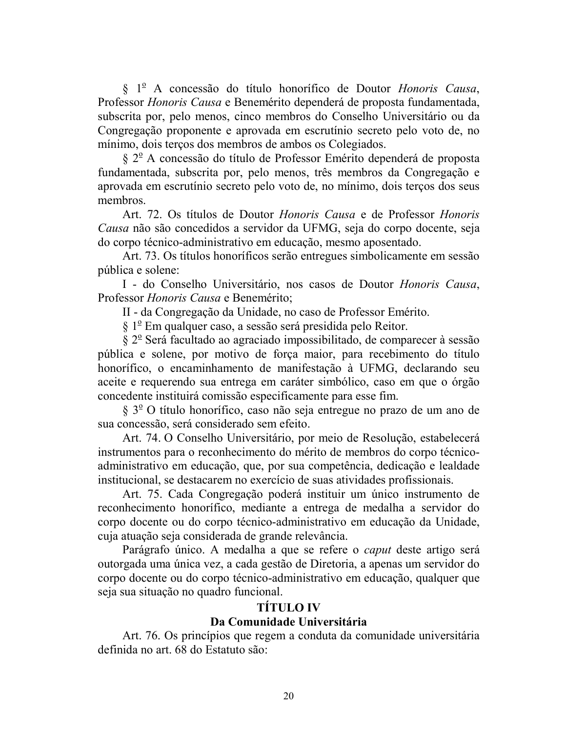§ 1<sup>°</sup> A concessão do título honorífico de Doutor Honoris Causa, Professor Honoris Causa e Benemérito dependerá de proposta fundamentada, subscrita por, pelo menos, cinco membros do Conselho Universitário ou da Congregação proponente e aprovada em escrutínio secreto pelo voto de, no mínimo, dois terços dos membros de ambos os Colegiados.

§ 2<sup>°</sup> A concessão do título de Professor Emérito dependerá de proposta fundamentada, subscrita por, pelo menos, três membros da Congregação e aprovada em escrutínio secreto pelo voto de, no mínimo, dois terços dos seus membros.

Art. 72. Os títulos de Doutor *Honoris Causa* e de Professor *Honoris* Causa não são concedidos a servidor da UFMG, seja do corpo docente, seja do corpo técnico-administrativo em educação, mesmo aposentado.

Art. 73. Os títulos honoríficos serão entregues simbolicamente em sessão pública e solene:

I - do Conselho Universitário, nos casos de Doutor Honoris Causa, Professor Honoris Causa e Benemérito;

II - da Congregação da Unidade, no caso de Professor Emérito.

§ 1<sup>°</sup> Em qualquer caso, a sessão será presidida pelo Reitor.

§ 2<sup>°</sup> Será facultado ao agraciado impossibilitado, de comparecer à sessão pública e solene, por motivo de força maior, para recebimento do título honorífico, o encaminhamento de manifestação à UFMG, declarando seu aceite e requerendo sua entrega em caráter simbólico, caso em que o órgão concedente instituirá comissão especificamente para esse fim.

 $\S 3^{\circ}$  O título honorífico, caso não seja entregue no prazo de um ano de sua concessão, será considerado sem efeito.

Art. 74. O Conselho Universitário, por meio de Resolução, estabelecerá instrumentos para o reconhecimento do mérito de membros do corpo técnicoadministrativo em educação, que, por sua competência, dedicação e lealdade institucional, se destacarem no exercício de suas atividades profissionais.

Art. 75. Cada Congregação poderá instituir um único instrumento de reconhecimento honorífico, mediante a entrega de medalha a servidor do corpo docente ou do corpo técnico-administrativo em educação da Unidade, cuja atuação seja considerada de grande relevância.

Parágrafo único. A medalha a que se refere o *caput* deste artigo será outorgada uma única vez, a cada gestão de Diretoria, a apenas um servidor do corpo docente ou do corpo técnico-administrativo em educação, qualquer que seja sua situação no quadro funcional.

## **TÍTULO IV**

## Da Comunidade Universitária

Art. 76. Os princípios que regem a conduta da comunidade universitária definida no art. 68 do Estatuto são: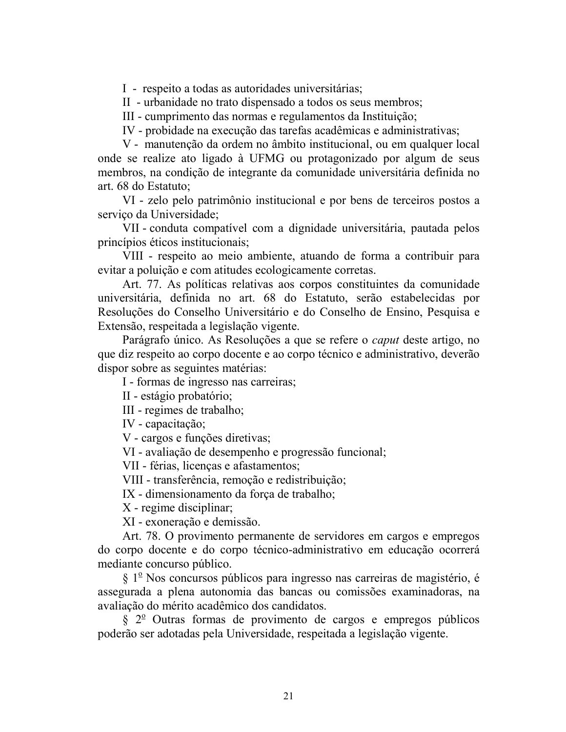I - respeito a todas as autoridades universitárias;

II - urbanidade no trato dispensado a todos os seus membros;

III - cumprimento das normas e regulamentos da Instituição;

IV - probidade na execução das tarefas acadêmicas e administrativas;

V - manutenção da ordem no âmbito institucional, ou em qualquer local onde se realize ato ligado à UFMG ou protagonizado por algum de seus membros, na condição de integrante da comunidade universitária definida no art. 68 do Estatuto:

VI - zelo pelo patrimônio institucional e por bens de terceiros postos a serviço da Universidade;

VII - conduta compatível com a dignidade universitária, pautada pelos princípios éticos institucionais;

VIII - respeito ao meio ambiente, atuando de forma a contribuir para evitar a poluição e com atitudes ecologicamente corretas.

Art. 77. As políticas relativas aos corpos constituintes da comunidade universitária, definida no art. 68 do Estatuto, serão estabelecidas por Resoluções do Conselho Universitário e do Conselho de Ensino, Pesquisa e Extensão, respeitada a legislação vigente.

Parágrafo único. As Resoluções a que se refere o *caput* deste artigo, no que diz respeito ao corpo docente e ao corpo técnico e administrativo, deverão dispor sobre as seguintes matérias:

I - formas de ingresso nas carreiras;

II - estágio probatório;

III - regimes de trabalho;

IV - capacitação:

V - cargos e funções diretivas:

VI - avaliação de desempenho e progressão funcional;

VII - férias, licenças e afastamentos;

VIII - transferência, remoção e redistribuição;

IX - dimensionamento da força de trabalho;

X - regime disciplinar;

XI - exoneração e demissão.

Art. 78. O provimento permanente de servidores em cargos e empregos do corpo docente e do corpo técnico-administrativo em educação ocorrerá mediante concurso público.

§ 1<sup>°</sup> Nos concursos públicos para ingresso nas carreiras de magistério, é assegurada a plena autonomia das bancas ou comissões examinadoras, na avaliação do mérito acadêmico dos candidatos.

 $\S$   $2^{\circ}$  Outras formas de provimento de cargos e empregos públicos poderão ser adotadas pela Universidade, respeitada a legislação vigente.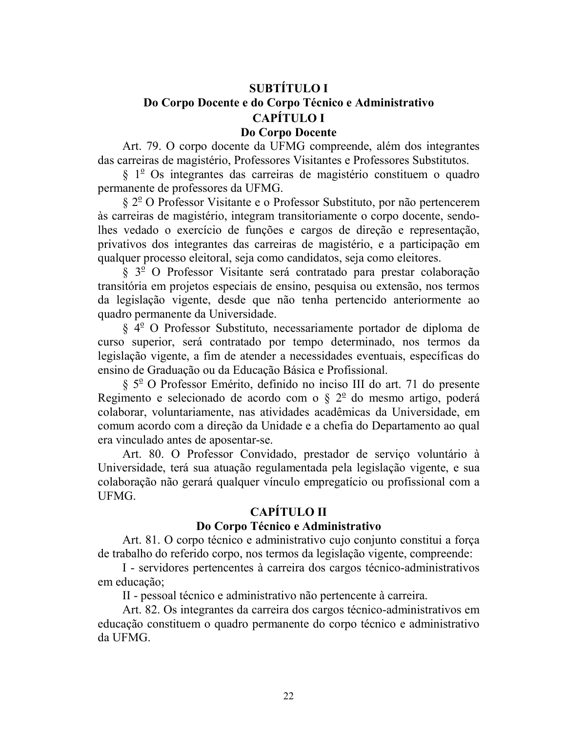# **SUBTÍTULO I** Do Corpo Docente e do Corpo Técnico e Administrativo **CAPÍTULO I** Do Corpo Docente

Art. 79. O corpo docente da UFMG compreende, além dos integrantes das carreiras de magistério, Professores Visitantes e Professores Substitutos.

 $\S$  1<sup>o</sup> Os integrantes das carreiras de magistério constituem o quadro permanente de professores da UFMG.

§ 2<sup>°</sup> O Professor Visitante e o Professor Substituto, por não pertencerem às carreiras de magistério, integram transitoriamente o corpo docente, sendolhes vedado o exercício de funções e cargos de direção e representação, privativos dos integrantes das carreiras de magistério, e a participação em qualquer processo eleitoral, seja como candidatos, seja como eleitores.

§ 3<sup>°</sup> O Professor Visitante será contratado para prestar colaboração transitória em projetos especiais de ensino, pesquisa ou extensão, nos termos da legislação vigente, desde que não tenha pertencido anteriormente ao quadro permanente da Universidade.

 $\S 4^{\circ}$  O Professor Substituto, necessariamente portador de diploma de curso superior, será contratado por tempo determinado, nos termos da legislação vigente, a fim de atender a necessidades eventuais, específicas do ensino de Graduação ou da Educação Básica e Profissional.

 $\S$  5<sup>o</sup> O Professor Emérito, definido no inciso III do art. 71 do presente Regimento e selecionado de acordo com o  $\S 2^{\circ}$  do mesmo artigo, poderá colaborar, voluntariamente, nas atividades acadêmicas da Universidade, em comum acordo com a direção da Unidade e a chefia do Departamento ao qual era vinculado antes de aposentar-se.

Art. 80. O Professor Convidado, prestador de serviço voluntário à Universidade, terá sua atuação regulamentada pela legislação vigente, e sua colaboração não gerará qualquer vínculo empregatício ou profissional com a UFMG.

# **CAPÍTULO II**

#### Do Corpo Técnico e Administrativo

Art. 81. O corpo técnico e administrativo cujo conjunto constitui a forca de trabalho do referido corpo, nos termos da legislação vigente, compreende:

I - servidores pertencentes à carreira dos cargos técnico-administrativos em educação;

II - pessoal técnico e administrativo não pertencente à carreira.

Art. 82. Os integrantes da carreira dos cargos técnico-administrativos em educação constituem o quadro permanente do corpo técnico e administrativo da UFMG.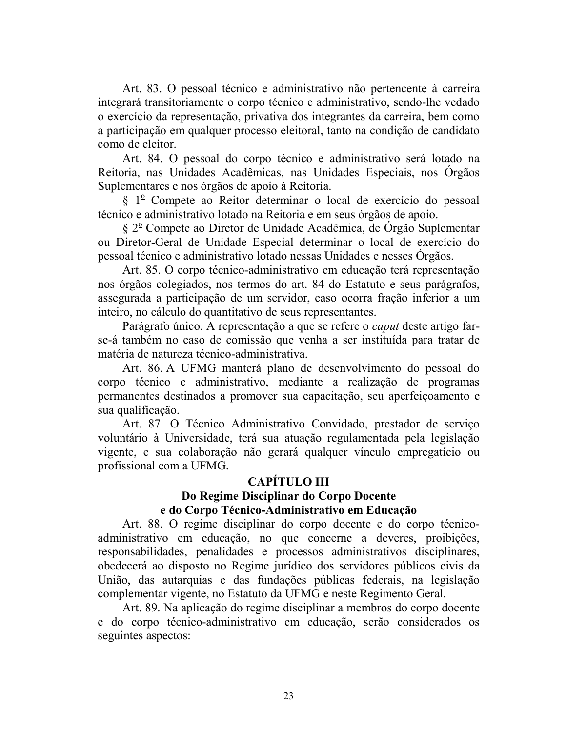Art. 83. O pessoal técnico e administrativo não pertencente à carreira integrará transitoriamente o corpo técnico e administrativo, sendo-lhe vedado o exercício da representação, privativa dos integrantes da carreira, bem como a participação em qualquer processo eleitoral, tanto na condição de candidato como de eleitor.

Art. 84. O pessoal do corpo técnico e administrativo será lotado na Reitoria, nas Unidades Acadêmicas, nas Unidades Especiais, nos Orgãos Suplementares e nos órgãos de apoio à Reitoria.

§ 1<sup>°</sup> Compete ao Reitor determinar o local de exercício do pessoal técnico e administrativo lotado na Reitoria e em seus órgãos de apoio.

§ 2<sup>°</sup> Compete ao Diretor de Unidade Acadêmica, de Orgão Suplementar ou Diretor-Geral de Unidade Especial determinar o local de exercício do pessoal técnico e administrativo lotado nessas Unidades e nesses Órgãos.

Art. 85. O corpo técnico-administrativo em educação terá representação nos órgãos colegiados, nos termos do art. 84 do Estatuto e seus parágrafos, assegurada a participação de um servidor, caso ocorra fração inferior a um inteiro, no cálculo do quantitativo de seus representantes.

Parágrafo único. A representação a que se refere o *caput* deste artigo farse-á também no caso de comissão que venha a ser instituída para tratar de matéria de natureza técnico-administrativa

Art. 86. A UFMG manterá plano de desenvolvimento do pessoal do corpo técnico e administrativo, mediante a realização de programas permanentes destinados a promover sua capacitação, seu aperfeiçoamento e sua qualificação.

Art. 87. O Técnico Administrativo Convidado, prestador de serviço voluntário à Universidade, terá sua atuação regulamentada pela legislação vigente, e sua colaboração não gerará qualquer vínculo empregatício ou profissional com a UFMG.

## **CAPÍTULO III**

#### Do Regime Disciplinar do Corpo Docente e do Corpo Técnico-Administrativo em Educação

Art. 88. O regime disciplinar do corpo docente e do corpo técnicoadministrativo em educação, no que concerne a deveres, proibições, responsabilidades, penalidades e processos administrativos disciplinares, obedecerá ao disposto no Regime jurídico dos servidores públicos civis da União, das autarquias e das fundações públicas federais, na legislação complementar vigente, no Estatuto da UFMG e neste Regimento Geral.

Art. 89. Na aplicação do regime disciplinar a membros do corpo docente e do corpo técnico-administrativo em educação, serão considerados os seguintes aspectos: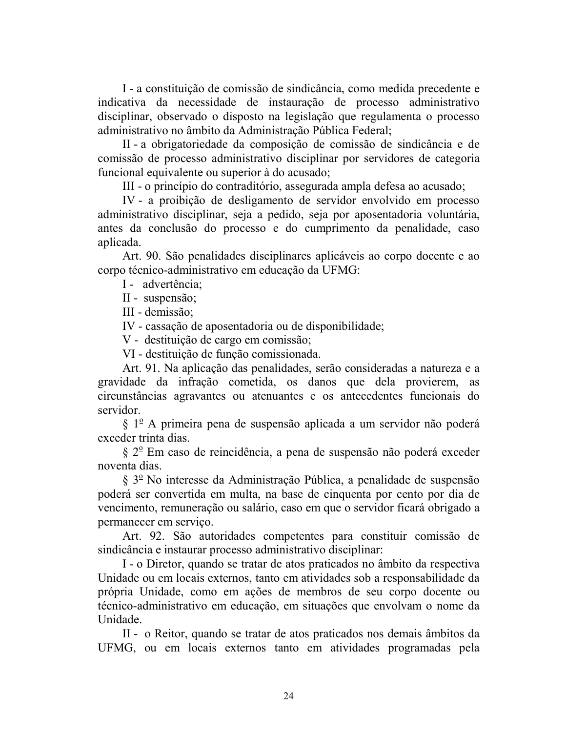I - a constituição de comissão de sindicância, como medida precedente e indicativa da necessidade de instauração de processo administrativo disciplinar, observado o disposto na legislação que regulamenta o processo administrativo no âmbito da Administração Pública Federal;

II-a obrigatoriedade da composição de comissão de sindicância e de comissão de processo administrativo disciplinar por servidores de categoria funcional equivalente ou superior à do acusado;

III - o princípio do contraditório, assegurada ampla defesa ao acusado;

IV - a proibição de desligamento de servidor envolvido em processo administrativo disciplinar, seja a pedido, seja por aposentadoria voluntária, antes da conclusão do processo e do cumprimento da penalidade, caso aplicada.

Art. 90. São penalidades disciplinares aplicáveis ao corpo docente e ao corpo técnico-administrativo em educação da UFMG:

I - advertência;

II - suspensão;

III - demissão;

IV - cassação de aposentadoria ou de disponibilidade;

V - destituição de cargo em comissão;

VI - destituição de função comissionada.

Art. 91. Na aplicação das penalidades, serão consideradas a natureza e a gravidade da infração cometida, os danos que dela provierem, as circunstâncias agravantes ou atenuantes e os antecedentes funcionais do servidor

 $\S 1^{\circ}$  A primeira pena de suspensão aplicada a um servidor não poderá exceder trinta dias.

§ 2<sup>°</sup> Em caso de reincidência, a pena de suspensão não poderá exceder noventa dias

 $\S 3^{\circ}$  No interesse da Administração Pública, a penalidade de suspensão poderá ser convertida em multa, na base de cinquenta por cento por dia de vencimento, remuneração ou salário, caso em que o servidor ficará obrigado a permanecer em serviço.

Art. 92. São autoridades competentes para constituir comissão de sindicância e instaurar processo administrativo disciplinar:

I - o Diretor, quando se tratar de atos praticados no âmbito da respectiva Unidade ou em locais externos, tanto em atividades sob a responsabilidade da própria Unidade, como em ações de membros de seu corpo docente ou técnico-administrativo em educação, em situações que envolvam o nome da Unidade.

II - o Reitor, quando se tratar de atos praticados nos demais âmbitos da UFMG, ou em locais externos tanto em atividades programadas pela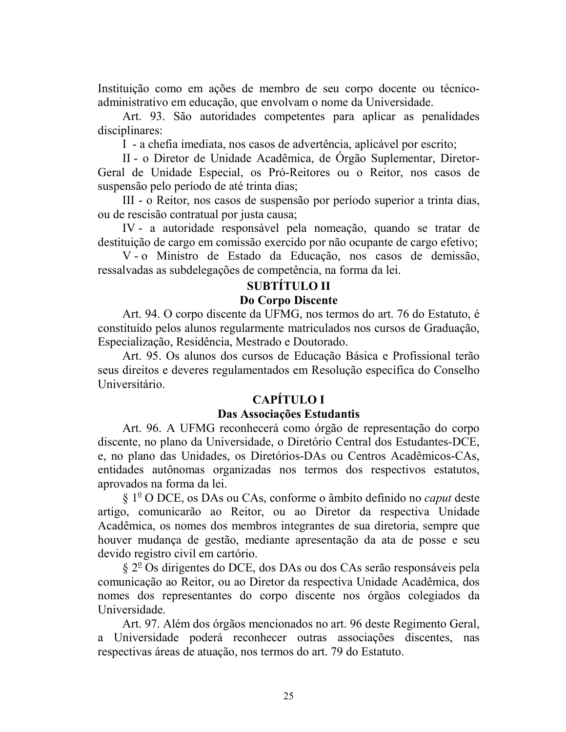Instituição como em ações de membro de seu corpo docente ou técnicoadministrativo em educação, que envolvam o nome da Universidade.

Art. 93. São autoridades competentes para aplicar as penalidades disciplinares:

I - a chefia imediata, nos casos de advertência, aplicável por escrito;

II - o Diretor de Unidade Acadêmica, de Órgão Suplementar, Diretor-Geral de Unidade Especial, os Pró-Reitores ou o Reitor, nos casos de suspensão pelo período de até trinta dias;

III - o Reitor, nos casos de suspensão por período superior a trinta dias, ou de rescisão contratual por justa causa;

IV - a autoridade responsável pela nomeação, quando se tratar de destituição de cargo em comissão exercido por não ocupante de cargo efetivo;

V-o Ministro de Estado da Educação, nos casos de demissão, ressalvadas as subdelegações de competência, na forma da lei.

# **SUBTITULO II**

### Do Corpo Discente

Art. 94. O corpo discente da UFMG, nos termos do art. 76 do Estatuto, é constituído pelos alunos regularmente matriculados nos cursos de Graduação, Especialização, Residência, Mestrado e Doutorado.

Art. 95. Os alunos dos cursos de Educação Básica e Profissional terão seus direitos e deveres regulamentados em Resolução específica do Conselho Universitário.

# **CAPÍTULO I**

## Das Associações Estudantis

Art. 96. A UFMG reconhecerá como órgão de representação do corpo discente, no plano da Universidade, o Diretório Central dos Estudantes-DCE, e, no plano das Unidades, os Diretórios-DAs ou Centros Acadêmicos-CAs, entidades autônomas organizadas nos termos dos respectivos estatutos, aprovados na forma da lei.

§ 1<sup>o</sup> O DCE, os DAs ou CAs, conforme o âmbito definido no *caput* deste artigo, comunicarão ao Reitor, ou ao Diretor da respectiva Unidade Acadêmica, os nomes dos membros integrantes de sua diretoria, sempre que houver mudança de gestão, mediante apresentação da ata de posse e seu devido registro civil em cartório.

§ 2<sup>°</sup> Os dirigentes do DCE, dos DAs ou dos CAs serão responsáveis pela comunicação ao Reitor, ou ao Diretor da respectiva Unidade Acadêmica, dos nomes dos representantes do corpo discente nos órgãos colegiados da Universidade.

Art. 97. Além dos órgãos mencionados no art. 96 deste Regimento Geral, a Universidade poderá reconhecer outras associações discentes, nas respectivas áreas de atuação, nos termos do art. 79 do Estatuto.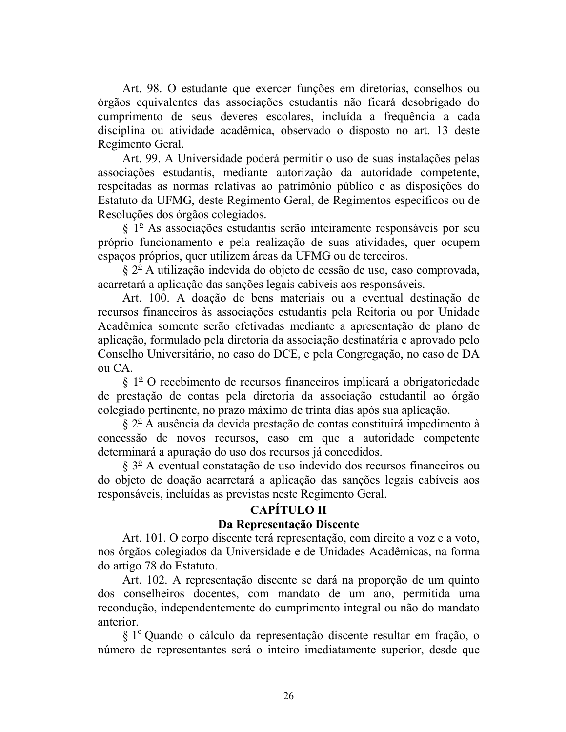Art. 98. O estudante que exercer funções em diretorias, conselhos ou órgãos equivalentes das associações estudantis não ficará desobrigado do cumprimento de seus deveres escolares, incluída a frequência a cada disciplina ou atividade acadêmica, observado o disposto no art. 13 deste Regimento Geral.

Art. 99. A Universidade poderá permitir o uso de suas instalações pelas associações estudantis, mediante autorização da autoridade competente, respeitadas as normas relativas ao patrimônio público e as disposições do Estatuto da UFMG, deste Regimento Geral, de Regimentos específicos ou de Resoluções dos órgãos colegiados.

 $\S 1^{\circ}$  As associações estudantis serão inteiramente responsáveis por seu próprio funcionamento e pela realização de suas atividades, quer ocupem espaços próprios, quer utilizem áreas da UFMG ou de terceiros.

 $\S 2^{\circ}$  A utilização indevida do objeto de cessão de uso, caso comprovada, acarretará a aplicação das sanções legais cabíveis aos responsáveis.

Art. 100. A doação de bens materiais ou a eventual destinação de recursos financeiros às associações estudantis pela Reitoria ou por Unidade Acadêmica somente serão efetivadas mediante a apresentação de plano de aplicação, formulado pela diretoria da associação destinatária e aprovado pelo Conselho Universitário, no caso do DCE, e pela Congregação, no caso de DA ou CA.

 $\S 1^{\circ}$  O recebimento de recursos financeiros implicará a obrigatoriedade de prestação de contas pela diretoria da associação estudantil ao órgão colegiado pertinente, no prazo máximo de trinta dias após sua aplicação.

 $\S 2^{\circ}$  A ausência da devida prestação de contas constituirá impedimento à concessão de novos recursos, caso em que a autoridade competente determinará a apuração do uso dos recursos já concedidos.

 $\S 3^{\circ}$  A eventual constatação de uso indevido dos recursos financeiros ou do objeto de doação acarretará a aplicação das sanções legais cabíveis aos responsáveis, incluídas as previstas neste Regimento Geral.

## **CAPÍTULO II**

## Da Representação Discente

Art. 101. O corpo discente terá representação, com direito a voz e a voto, nos órgãos colegiados da Universidade e de Unidades Acadêmicas, na forma do artigo 78 do Estatuto.

Art. 102. A representação discente se dará na proporção de um quinto dos conselheiros docentes, com mandato de um ano, permitida uma recondução, independentemente do cumprimento integral ou não do mandato anterior.

 $\S 1^{\circ}$  Quando o cálculo da representação discente resultar em fração, o número de representantes será o inteiro imediatamente superior, desde que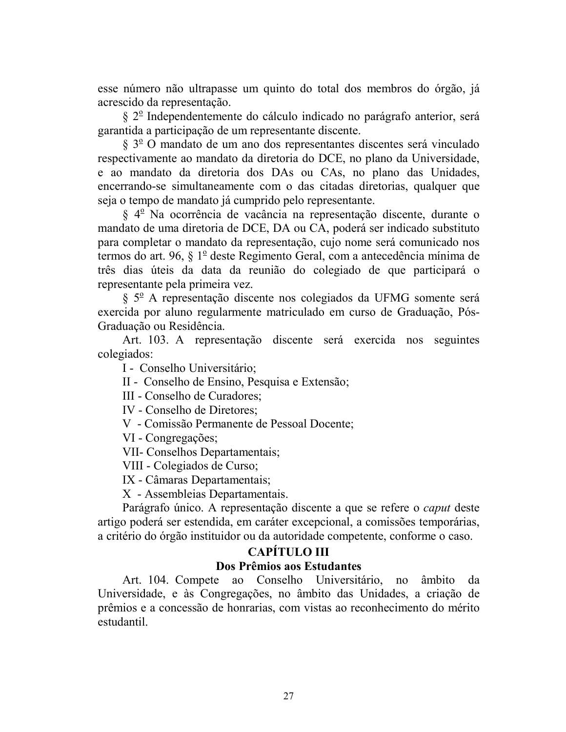esse número não ultrapasse um quinto do total dos membros do órgão, já acrescido da representação.

§ 2<sup>°</sup> Independentemente do cálculo indicado no parágrafo anterior, será garantida a participação de um representante discente.

§ 3<sup>o</sup> O mandato de um ano dos representantes discentes será vinculado respectivamente ao mandato da diretoria do DCE, no plano da Universidade, e ao mandato da diretoria dos DAs ou CAs, no plano das Unidades, encerrando-se simultaneamente com o das citadas diretorias, qualquer que seja o tempo de mandato já cumprido pelo representante.

§ 4<sup>°</sup> Na ocorrência de vacância na representação discente, durante o mandato de uma diretoria de DCE, DA ou CA, poderá ser indicado substituto para completar o mandato da representação, cujo nome será comunicado nos termos do art. 96, § 1º deste Regimento Geral, com a antecedência mínima de três dias úteis da data da reunião do colegiado de que participará o representante pela primeira vez.

§ 5º A representação discente nos colegiados da UFMG somente será exercida por aluno regularmente matriculado em curso de Graduação, Pós-Graduação ou Residência.

Art. 103. A representação discente será exercida nos seguintes colegiados:

I - Conselho Universitário;

II - Conselho de Ensino, Pesquisa e Extensão;

III - Conselho de Curadores;

IV - Conselho de Diretores:

V - Comissão Permanente de Pessoal Docente:

VI - Congregações:

VII- Conselhos Departamentais;

VIII - Colegiados de Curso;

IX - Câmaras Departamentais;

X - Assembleias Departamentais.

Parágrafo único. A representação discente a que se refere o *caput* deste artigo poderá ser estendida, em caráter excepcional, a comissões temporárias, a critério do órgão instituidor ou da autoridade competente, conforme o caso.

# **CAPÍTULO III**

### Dos Prêmios aos Estudantes

Art. 104. Compete ao Conselho Universitário, no âmbito da Universidade, e às Congregações, no âmbito das Unidades, a criação de prêmios e a concessão de honrarias, com vistas ao reconhecimento do mérito estudantil.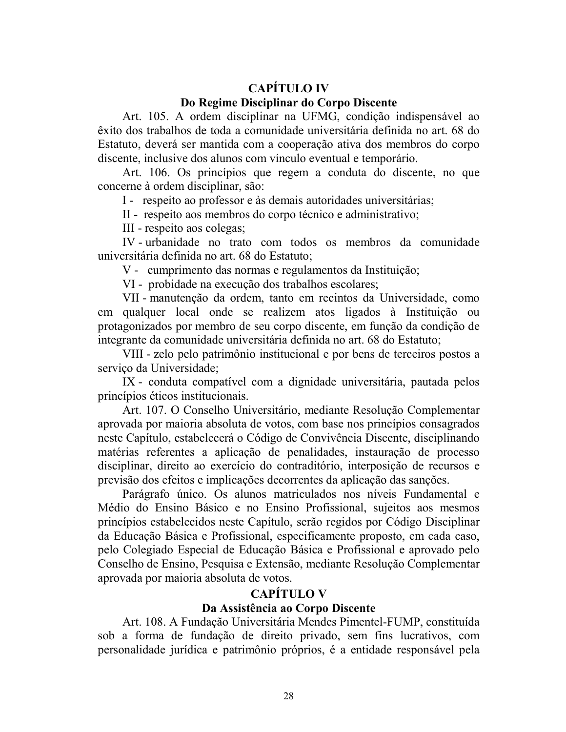# **CAPÍTILO IV**

#### Do Regime Disciplinar do Corpo Discente

Art. 105. A ordem disciplinar na UFMG, condição indispensável ao êxito dos trabalhos de toda a comunidade universitária definida no art. 68 do Estatuto, deverá ser mantida com a cooperação ativa dos membros do corpo discente, inclusive dos alunos com vínculo eventual e temporário.

Art. 106. Os princípios que regem a conduta do discente, no que concerne à ordem disciplinar, são:

I - respeito ao professor e às demais autoridades universitárias;

II - respeito aos membros do corpo técnico e administrativo;

III - respeito aos colegas;

IV - urbanidade no trato com todos os membros da comunidade universitária definida no art. 68 do Estatuto:

V - cumprimento das normas e regulamentos da Instituição;

VI - probidade na execução dos trabalhos escolares;

VII - manutenção da ordem, tanto em recintos da Universidade, como em qualquer local onde se realizem atos ligados à Instituição ou protagonizados por membro de seu corpo discente, em função da condição de integrante da comunidade universitária definida no art. 68 do Estatuto;

VIII - zelo pelo patrimônio institucional e por bens de terceiros postos a serviço da Universidade;

IX - conduta compatível com a dignidade universitária, pautada pelos princípios éticos institucionais.

Art. 107. O Conselho Universitário, mediante Resolução Complementar aprovada por maioria absoluta de votos, com base nos princípios consagrados neste Capítulo, estabelecerá o Código de Convivência Discente, disciplinando matérias referentes a aplicação de penalidades, instauração de processo disciplinar, direito ao exercício do contraditório, interposição de recursos e previsão dos efeitos e implicações decorrentes da aplicação das sanções.

Parágrafo único. Os alunos matriculados nos níveis Fundamental e Médio do Ensino Básico e no Ensino Profissional, sujeitos aos mesmos princípios estabelecidos neste Capítulo, serão regidos por Código Disciplinar da Educação Básica e Profissional, especificamente proposto, em cada caso, pelo Colegiado Especial de Educação Básica e Profissional e aprovado pelo Conselho de Ensino, Pesquisa e Extensão, mediante Resolução Complementar aprovada por maioria absoluta de votos.

# **CAPÍTULO V**

## Da Assistência ao Corpo Discente

Art. 108. A Fundação Universitária Mendes Pimentel-FUMP, constituída sob a forma de fundação de direito privado, sem fins lucrativos, com personalidade jurídica e patrimônio próprios, é a entidade responsável pela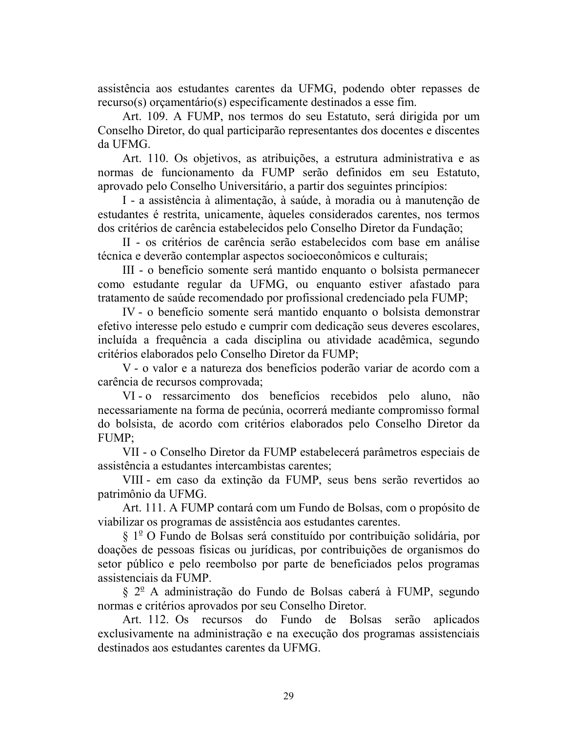assistência aos estudantes carentes da UFMG, podendo obter repasses de recurso(s) or camentário(s) especificamente destinados a esse fim.

Art. 109. A FUMP, nos termos do seu Estatuto, será dirigida por um Conselho Diretor, do qual participarão representantes dos docentes e discentes da UFMG.

Art. 110. Os objetivos, as atribuições, a estrutura administrativa e as normas de funcionamento da FUMP serão definidos em seu Estatuto, aprovado pelo Conselho Universitário, a partir dos seguintes princípios:

I - a assistência à alimentação, à saúde, à moradia ou à manutenção de estudantes é restrita, unicamente, àqueles considerados carentes, nos termos dos critérios de carência estabelecidos pelo Conselho Diretor da Fundação;

II - os critérios de carência serão estabelecidos com base em análise técnica e deverão contemplar aspectos socioeconômicos e culturais;

III - o benefício somente será mantido enquanto o bolsista permanecer como estudante regular da UFMG, ou enquanto estiver afastado para tratamento de saúde recomendado por profissional credenciado pela FUMP;

IV - o benefício somente será mantido enquanto o bolsista demonstrar efetivo interesse pelo estudo e cumprir com dedicação seus deveres escolares, incluída a frequência a cada disciplina ou atividade acadêmica, segundo critérios elaborados pelo Conselho Diretor da FUMP;

V - o valor e a natureza dos benefícios poderão variar de acordo com a carência de recursos comprovada;

VI-o ressarcimento dos benefícios recebidos pelo aluno, não necessariamente na forma de pecúnia, ocorrerá mediante compromisso formal do bolsista, de acordo com critérios elaborados pelo Conselho Diretor da FUMP:

VII - o Conselho Diretor da FUMP estabelecerá parâmetros especiais de assistência a estudantes intercambistas carentes:

VIII - em caso da extinção da FUMP, seus bens serão revertidos ao patrimônio da UFMG.

Art. 111. A FUMP contará com um Fundo de Bolsas, com o propósito de viabilizar os programas de assistência aos estudantes carentes.

 $\S 1^{\circ}$  O Fundo de Bolsas será constituído por contribuição solidária, por doações de pessoas físicas ou jurídicas, por contribuições de organismos do setor público e pelo reembolso por parte de beneficiados pelos programas assistenciais da FUMP.

§ 2<sup>o</sup> A administração do Fundo de Bolsas caberá à FUMP, segundo normas e critérios aprovados por seu Conselho Diretor.

Art. 112. Os recursos do Fundo de Bolsas serão aplicados exclusivamente na administração e na execução dos programas assistenciais destinados aos estudantes carentes da UFMG.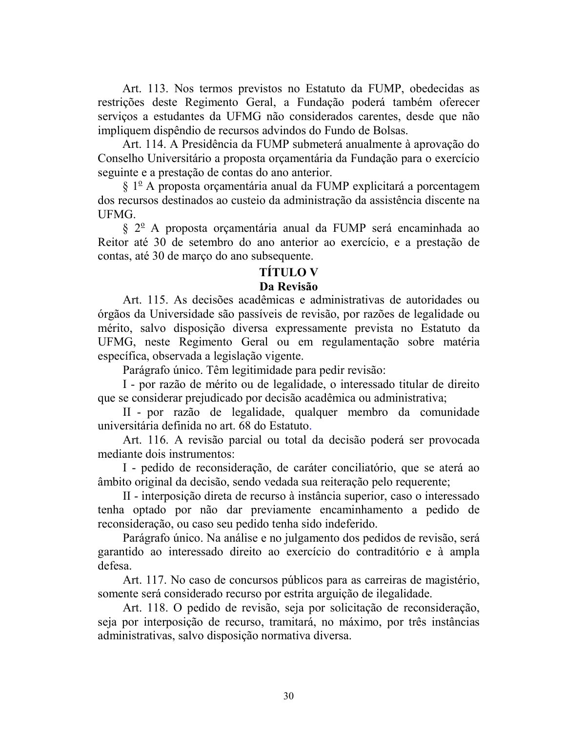Art. 113. Nos termos previstos no Estatuto da FUMP, obedecidas as restrições deste Regimento Geral, a Fundação poderá também oferecer serviços a estudantes da UFMG não considerados carentes, desde que não impliquem dispêndio de recursos advindos do Fundo de Bolsas.

Art. 114. A Presidência da FUMP submeterá anualmente à aprovação do Conselho Universitário a proposta orgamentária da Fundação para o exercício seguinte e a prestação de contas do ano anterior.

 $\S 1^{\circ}$  A proposta orçamentária anual da FUMP explicitará a porcentagem dos recursos destinados ao custeio da administração da assistência discente na UFMG.

 $\S 2^{\circ}$  A proposta orçamentária anual da FUMP será encaminhada ao Reitor até 30 de setembro do ano anterior ao exercício, e a prestação de contas, até 30 de março do ano subsequente.

#### **TÍTULO V**

#### Da Revisão

Art. 115. As decisões acadêmicas e administrativas de autoridades ou órgãos da Universidade são passíveis de revisão, por razões de legalidade ou mérito, salvo disposição diversa expressamente prevista no Estatuto da UFMG, neste Regimento Geral ou em regulamentação sobre matéria específica, observada a legislação vigente.

Parágrafo único. Têm legitimidade para pedir revisão:

I - por razão de mérito ou de legalidade, o interessado titular de direito que se considerar prejudicado por decisão acadêmica ou administrativa;

II - por razão de legalidade, qualquer membro da comunidade universitária definida no art. 68 do Estatuto.

Art. 116. A revisão parcial ou total da decisão poderá ser provocada mediante dois instrumentos:

I - pedido de reconsideração, de caráter conciliatório, que se aterá ao âmbito original da decisão, sendo vedada sua reiteração pelo requerente;

II - interposição direta de recurso à instância superior, caso o interessado tenha optado por não dar previamente encaminhamento a pedido de reconsideração, ou caso seu pedido tenha sido indeferido.

Parágrafo único. Na análise e no julgamento dos pedidos de revisão, será garantido ao interessado direito ao exercício do contraditório e à ampla defesa.

Art. 117. No caso de concursos públicos para as carreiras de magistério, somente será considerado recurso por estrita arguição de ilegalidade.

Art. 118. O pedido de revisão, seja por solicitação de reconsideração, seja por interposição de recurso, tramitará, no máximo, por três instâncias administrativas, salvo disposição normativa diversa.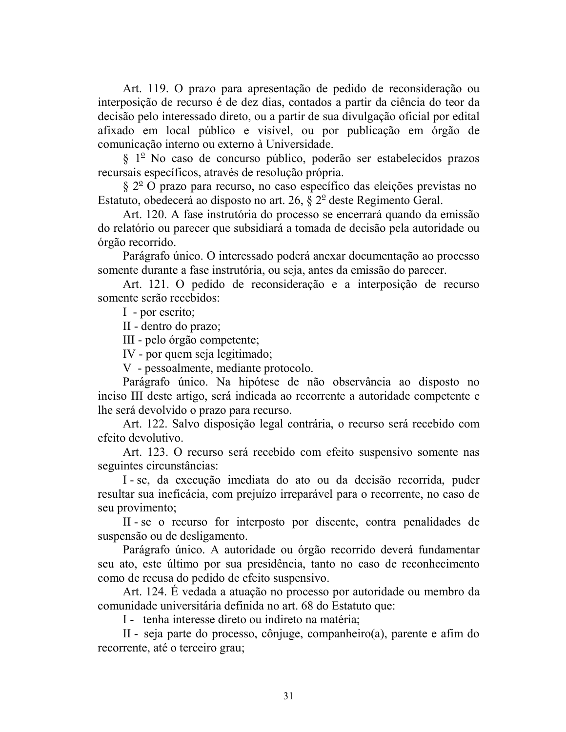Art. 119. O prazo para apresentação de pedido de reconsideração ou interposição de recurso é de dez dias, contados a partir da ciência do teor da decisão pelo interessado direto, ou a partir de sua divulgação oficial por edital afixado em local público e visível, ou por publicação em órgão de comunicação interno ou externo à Universidade.

§ 1<sup>º</sup> No caso de concurso público, poderão ser estabelecidos prazos recursais específicos, através de resolução própria.

 $\S 2^{\circ}$  O prazo para recurso, no caso específico das eleições previstas no Estatuto, obedecerá ao disposto no art. 26,  $\S$   $2^{\circ}$  deste Regimento Geral.

Art. 120. A fase instrutória do processo se encerrará quando da emissão do relatório ou parecer que subsidiará a tomada de decisão pela autoridade ou órgão recorrido.

Parágrafo único. O interessado poderá anexar documentação ao processo somente durante a fase instrutória, ou seja, antes da emissão do parecer.

Art. 121. O pedido de reconsideração e a interposição de recurso somente serão recebidos:

I - por escrito;

II - dentro do prazo;

III - pelo órgão competente;

IV - por quem seja legitimado;

V - pessoalmente, mediante protocolo.

Parágrafo único. Na hipótese de não observância ao disposto no inciso III deste artigo, será indicada ao recorrente a autoridade competente e lhe será devolvido o prazo para recurso.

Art. 122. Salvo disposição legal contrária, o recurso será recebido com efeito devolutivo.

Art. 123. O recurso será recebido com efeito suspensivo somente nas seguintes circunstâncias:

I - se, da execução imediata do ato ou da decisão recorrida, puder resultar sua ineficácia, com prejuízo irreparável para o recorrente, no caso de seu provimento;

II - se o recurso for interposto por discente, contra penalidades de suspensão ou de desligamento.

Parágrafo único. A autoridade ou órgão recorrido deverá fundamentar seu ato, este último por sua presidência, tanto no caso de reconhecimento como de recusa do pedido de efeito suspensivo.

Art. 124. É vedada a atuação no processo por autoridade ou membro da comunidade universitária definida no art. 68 do Estatuto que:

I - tenha interesse direto ou indireto na matéria;

II - seja parte do processo, cônjuge, companheiro(a), parente e afim do recorrente, até o terceiro grau;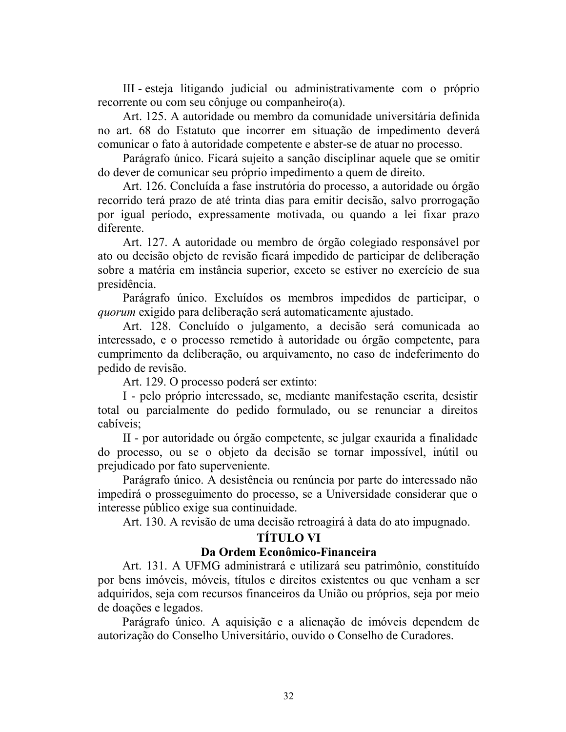III - esteja litigando judicial ou administrativamente com o próprio recorrente ou com seu côniuge ou companheiro(a).

Art. 125. A autoridade ou membro da comunidade universitária definida no art. 68 do Estatuto que incorrer em situação de impedimento deverá comunicar o fato à autoridade competente e abster-se de atuar no processo.

Parágrafo único. Ficará sujeito a sanção disciplinar aquele que se omitir do dever de comunicar seu próprio impedimento a quem de direito.

Art. 126. Concluída a fase instrutória do processo, a autoridade ou órgão recorrido terá prazo de até trinta dias para emitir decisão, salvo prorrogação por igual período, expressamente motivada, ou quando a lei fixar prazo diferente.

Art. 127. A autoridade ou membro de órgão colegiado responsável por ato ou decisão objeto de revisão ficará impedido de participar de deliberação sobre a matéria em instância superior, exceto se estiver no exercício de sua presidência.

Parágrafo único. Excluídos os membros impedidos de participar, o *quorum* exigido para deliberação será automaticamente ajustado.

Art. 128. Concluído o julgamento, a decisão será comunicada ao interessado, e o processo remetido à autoridade ou órgão competente, para cumprimento da deliberação, ou arquivamento, no caso de indeferimento do pedido de revisão.

Art. 129. O processo poderá ser extinto:

I - pelo próprio interessado, se, mediante manifestação escrita, desistir total ou parcialmente do pedido formulado, ou se renunciar a direitos cabíveis:

II - por autoridade ou órgão competente, se julgar exaurida a finalidade do processo, ou se o objeto da decisão se tornar impossível, inútil ou prejudicado por fato superveniente.

Parágrafo único. A desistência ou renúncia por parte do interessado não impedirá o prosseguimento do processo, se a Universidade considerar que o interesse público exige sua continuidade.

Art. 130. A revisão de uma decisão retroagirá à data do ato impugnado.

# TÍTULO VI

#### Da Ordem Econômico-Financeira

Art. 131. A UFMG administrará e utilizará seu patrimônio, constituído por bens imóveis, móveis, títulos e direitos existentes ou que venham a ser adquiridos, seja com recursos financeiros da União ou próprios, seja por meio de doações e legados.

Parágrafo único. A aquisição e a alienação de imóveis dependem de autorização do Conselho Universitário, ouvido o Conselho de Curadores.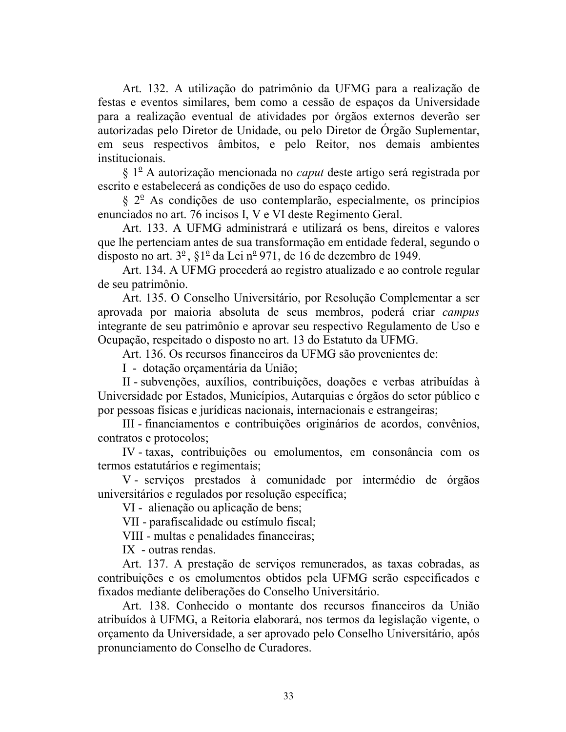Art. 132. A utilização do patrimônio da UFMG para a realização de festas e eventos similares, bem como a cessão de espaços da Universidade para a realização eventual de atividades por órgãos externos deverão ser autorizadas pelo Diretor de Unidade, ou pelo Diretor de Orgão Suplementar, em seus respectivos âmbitos, e pelo Reitor, nos demais ambientes institucionais.

 $\S 1^{\circ}$  A autorização mencionada no *caput* deste artigo será registrada por escrito e estabelecerá as condições de uso do espaço cedido.

 $\S 2^{\circ}$  As condições de uso contemplarão, especialmente, os princípios enunciados no art. 76 incisos I, V e VI deste Regimento Geral.

Art. 133. A UFMG administrará e utilizará os bens, direitos e valores que lhe pertenciam antes de sua transformação em entidade federal, segundo o disposto no art.  $3^{\circ}$ ,  $\S1^{\circ}$  da Lei n<sup>o</sup> 971, de 16 de dezembro de 1949.

Art. 134. A UFMG procederá ao registro atualizado e ao controle regular de seu patrimônio.

Art. 135. O Conselho Universitário, por Resolução Complementar a ser aprovada por maioria absoluta de seus membros, poderá criar campus integrante de seu patrimônio e aprovar seu respectivo Regulamento de Uso e Ocupação, respeitado o disposto no art. 13 do Estatuto da UFMG.

Art. 136. Os recursos financeiros da UFMG são provenientes de:

I - dotação orçamentária da União;

II - subvenções, auxílios, contribuições, doações e verbas atribuídas à Universidade por Estados, Municípios, Autarquias e órgãos do setor público e por pessoas físicas e jurídicas nacionais, internacionais e estrangeiras;

III - financiamentos e contribuições originários de acordos, convênios, contratos e protocolos:

IV-taxas, contribuições ou emolumentos, em consonância com os termos estatutários e regimentais;

V - serviços prestados à comunidade por intermédio de órgãos universitários e regulados por resolução específica;

VI - alienação ou aplicação de bens;

VII - parafiscalidade ou estímulo fiscal;

VIII - multas e penalidades financeiras;

IX - outras rendas.

Art. 137. A prestação de serviços remunerados, as taxas cobradas, as contribuições e os emolumentos obtidos pela UFMG serão especificados e fixados mediante deliberações do Conselho Universitário.

Art. 138. Conhecido o montante dos recursos financeiros da União atribuídos à UFMG, a Reitoria elaborará, nos termos da legislação vigente, o orçamento da Universidade, a ser aprovado pelo Conselho Universitário, após pronunciamento do Conselho de Curadores.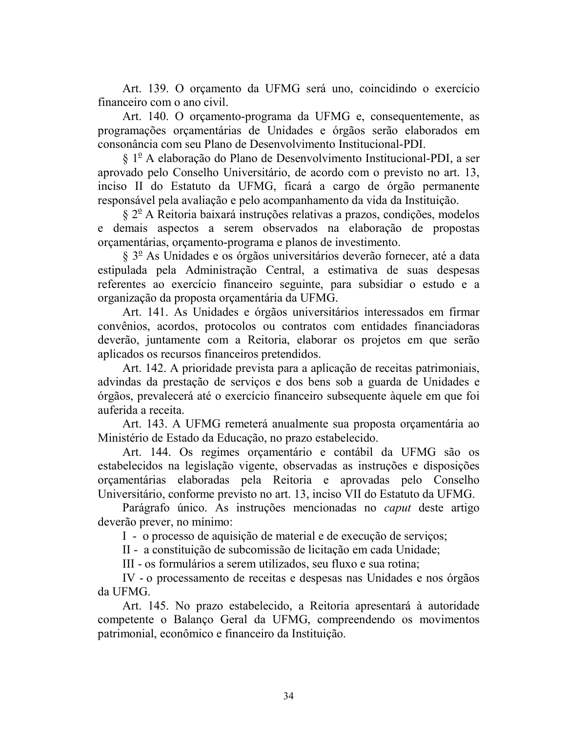Art. 139. O orçamento da UFMG será uno, coincidindo o exercício financeiro com o ano civil.

Art. 140. O orgamento-programa da UFMG e, consequentemente, as programações orçamentárias de Unidades e órgãos serão elaborados em consonância com seu Plano de Desenvolvimento Institucional-PDI.

§ 1<sup>º</sup> A elaboração do Plano de Desenvolvimento Institucional-PDI, a ser aprovado pelo Conselho Universitário, de acordo com o previsto no art. 13, inciso II do Estatuto da UFMG, ficará a cargo de órgão permanente responsável pela avaliação e pelo acompanhamento da vida da Instituição.

 $\S 2^{\circ}$  A Reitoria baixará instruções relativas a prazos, condições, modelos e demais aspectos a serem observados na elaboração de propostas orçamentárias, orçamento-programa e planos de investimento.

 $\S 3^{\circ}$  As Unidades e os órgãos universitários deverão fornecer, até a data estipulada pela Administração Central, a estimativa de suas despesas referentes ao exercício financeiro seguinte, para subsidiar o estudo e a organização da proposta orçamentária da UFMG.

Art. 141. As Unidades e órgãos universitários interessados em firmar convênios, acordos, protocolos ou contratos com entidades financiadoras deverão, juntamente com a Reitoria, elaborar os projetos em que serão aplicados os recursos financeiros pretendidos.

Art. 142. A prioridade prevista para a aplicação de receitas patrimoniais, advindas da prestação de serviços e dos bens sob a guarda de Unidades e órgãos, prevalecerá até o exercício financeiro subsequente àquele em que foi auferida a receita.

Art. 143. A UFMG remeterá anualmente sua proposta orcamentária ao Ministério de Estado da Educação, no prazo estabelecido.

Art. 144. Os regimes orçamentário e contábil da UFMG são os estabelecidos na legislação vigente, observadas as instruções e disposições orcamentárias elaboradas pela Reitoria e aprovadas pelo Conselho Universitário, conforme previsto no art. 13, inciso VII do Estatuto da UFMG.

Parágrafo único. As instruções mencionadas no *caput* deste artigo deverão prever, no mínimo:

I - o processo de aquisição de material e de execução de serviços;

II - a constituição de subcomissão de licitação em cada Unidade;

III - os formulários a serem utilizados, seu fluxo e sua rotina;

IV - o processamento de receitas e despesas nas Unidades e nos órgãos da UFMG.

Art. 145. No prazo estabelecido, a Reitoria apresentará à autoridade competente o Balanço Geral da UFMG, compreendendo os movimentos patrimonial, econômico e financeiro da Instituição.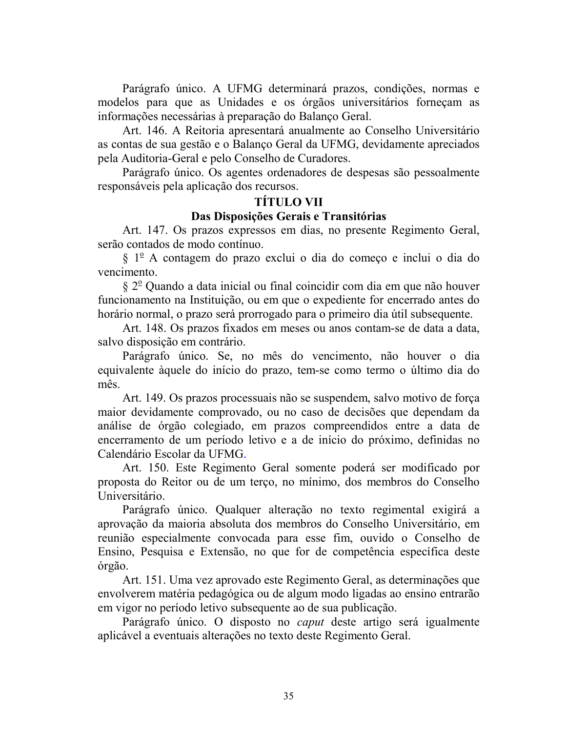Parágrafo único. A UFMG determinará prazos, condições, normas e modelos para que as Unidades e os órgãos universitários fornecam as informações necessárias à preparação do Balanço Geral.

Art. 146. A Reitoria apresentará anualmente ao Conselho Universitário as contas de sua gestão e o Balanço Geral da UFMG, devidamente apreciados pela Auditoria-Geral e pelo Conselho de Curadores.

Parágrafo único. Os agentes ordenadores de despesas são pessoalmente responsáveis pela aplicação dos recursos.

#### **TÍTULO VII**

#### Das Disposições Gerais e Transitórias

Art. 147. Os prazos expressos em dias, no presente Regimento Geral, serão contados de modo contínuo.

§ 1<sup>°</sup> A contagem do prazo exclui o dia do começo e inclui o dia do vencimento.

 $\S 2^{\circ}$  Quando a data inicial ou final coincidir com dia em que não houver funcionamento na Instituição, ou em que o expediente for encerrado antes do horário normal, o prazo será prorrogado para o primeiro dia útil subsequente.

Art. 148. Os prazos fixados em meses ou anos contam-se de data a data, salvo disposição em contrário.

Parágrafo único. Se, no mês do vencimento, não houver o dia equivalente àquele do início do prazo, tem-se como termo o último dia do mês.

Art. 149. Os prazos processuais não se suspendem, salvo motivo de força maior devidamente comprovado, ou no caso de decisões que dependam da análise de órgão colegiado, em prazos compreendidos entre a data de encerramento de um período letivo e a de início do próximo, definidas no Calendário Escolar da UFMG.

Art. 150. Este Regimento Geral somente poderá ser modificado por proposta do Reitor ou de um terço, no mínimo, dos membros do Conselho Universitário.

Parágrafo único. Qualquer alteração no texto regimental exigirá a aprovação da maioria absoluta dos membros do Conselho Universitário, em reunião especialmente convocada para esse fim, ouvido o Conselho de Ensino, Pesquisa e Extensão, no que for de competência específica deste órgão.

Art. 151. Uma vez aprovado este Regimento Geral, as determinações que envolverem matéria pedagógica ou de algum modo ligadas ao ensino entrarão em vigor no período letivo subsequente ao de sua publicação.

Parágrafo único. O disposto no *caput* deste artigo será igualmente aplicável a eventuais alterações no texto deste Regimento Geral.